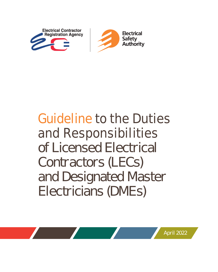



# **Guideline to the Duties and Responsibilities**  of Licensed Electrical Contractors (LECs) and Designated Master Electricians (DMEs)

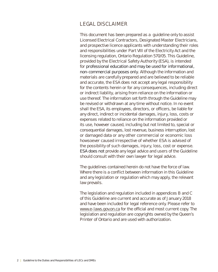## **LEGAL DISCLAIMER**

This document has been prepared as a guideline only to assist Licensed Electrical Contractors, Designated Master Electricians, and prospective licence applicants with understanding their roles and responsibilities under Part VIII of the Electricity Act and the licensing regulation, Ontario Regulation 570/05. This Guideline, provided by the Electrical Safety Authority (ESA), is intended for professional education and may be used for informational, non-commercial purposes only. Although the information and materials are carefully prepared and are believed to be reliable and accurate, the ESA does not accept any legal responsibility for the contents herein or for any consequences, including direct or indirect liability, arising from reliance on the information or use thereof. The information set forth through the Guideline may be revised or withdrawn at any time without notice. In no event shall the ESA, its employees, directors, or officers, be liable for any direct, indirect or incidental damages, injury, loss, costs or expenses related to reliance on the information provided or its use, however caused, including but not limited to, special or consequential damages, lost revenue, business interruption, lost or damaged data or any other commercial or economic loss howsoever caused irrespective of whether ESA is advised of the possibility of such damages, injury, loss, cost or expense. **ESA does not** provide any legal advice and users of the Guideline should consult with their own lawyer for legal advice.

The guidelines contained herein do not have the force of law. Where there is a conflict between information in this Guideline and any legislation or regulation which may apply, the relevant law prevails.

The legislation and regulation included in appendices B and C of this Guideline are current and accurate as of January 2018 and have been included for legal reference only. Please refer to www.e-laws.gov.on.ca for the official and most current copy. The legislation and regulation are copyrights owned by the Queen's Printer of Ontario and are used with authorization.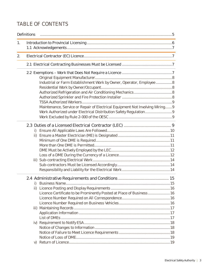## **TABLE OF CONTENTS**

|    | <b>Definitions</b> |                                                                                                                                                       |
|----|--------------------|-------------------------------------------------------------------------------------------------------------------------------------------------------|
| 1. |                    |                                                                                                                                                       |
| 2. |                    |                                                                                                                                                       |
|    |                    |                                                                                                                                                       |
|    |                    | Industrial or Farm Establishment Work by Owner, Operator, Employee 8<br>Maintenance, Service or Repair of Electrical Equipment Not Involving Wiring 9 |
|    |                    |                                                                                                                                                       |
|    | ii)                | Licence Certificate to be Prominently Posted at Place of Business 16                                                                                  |
|    | V)                 |                                                                                                                                                       |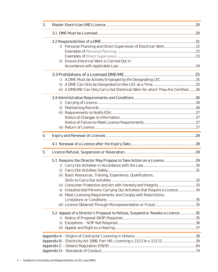| 3. |                                                                                 |  |
|----|---------------------------------------------------------------------------------|--|
|    |                                                                                 |  |
|    |                                                                                 |  |
|    | i) Personal Planning and Direct Supervision of Electrical Work22                |  |
|    |                                                                                 |  |
|    |                                                                                 |  |
|    | Ensure Electrical Work is Carried Out in<br>ii)                                 |  |
|    |                                                                                 |  |
|    |                                                                                 |  |
|    | $\vert$ )                                                                       |  |
|    |                                                                                 |  |
|    | iii) A DME/ME Can Only Carry Out Electrical Work for which They Are Certified26 |  |
|    |                                                                                 |  |
|    |                                                                                 |  |
|    |                                                                                 |  |
|    |                                                                                 |  |
|    |                                                                                 |  |
|    |                                                                                 |  |
|    |                                                                                 |  |
| 4. |                                                                                 |  |
|    |                                                                                 |  |
| 5. |                                                                                 |  |
|    |                                                                                 |  |
|    | i)                                                                              |  |
|    |                                                                                 |  |
|    | iii) Basic Resources, Training, Experience, Qualifications,                     |  |
|    |                                                                                 |  |
|    |                                                                                 |  |
|    | Unauthorized Persons Carrying Out Activities that Require a Licence 34<br>V)    |  |
|    | vi) Meet Licensing Requirements and Comply with Restrictions,                   |  |
|    |                                                                                 |  |
|    |                                                                                 |  |
|    | 5.2 Appeal of a Director's Proposal to Refuse, Suspend or Revoke a Licence 35   |  |
|    | i)                                                                              |  |
|    |                                                                                 |  |
|    |                                                                                 |  |
|    |                                                                                 |  |
|    | Appendix B - Electricity Act 1998, Part VIII; Licensing s.113.2 to s.113.12 39  |  |
|    |                                                                                 |  |
|    |                                                                                 |  |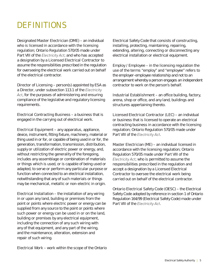## **DEFINITIONS**

Designated Master Electrician (DME) – an individual who is licensed in accordance with the licensing regulation; Ontario Regulation 570/05 made under Part VIII of the *Electricity Act*; and who has accepted a designation by a Licensed Electrical Contractor to assume the responsibilities prescribed in the regulation for overseeing the electrical work carried out on behalf of the electrical contractor.

Director of Licensing – person(s) appointed by ESA as a Director, under subsection 113.1 of the *Electricity Act*, for the purposes of administering and ensuring compliance of the legislative and regulatory licensing requirements.

Electrical Contracting Business – a business that is engaged in the carrying out of electrical work.

Electrical Equipment – any apparatus, appliance, device, instrument, fitting fixture, machinery, material or thing used in or for, or capable of being used in or for, the generation, transformation, transmission, distribution, supply or utilization of electric power or energy, and, without restricting the generality of the foregoing, includes any assemblage or combination of materials or things which is used, or is capable of being used or adapted, to serve or perform any particular purpose or function when connected to an electrical installation, notwithstanding that any of such materials or things may be mechanical, metallic or non-electric in origin.

Electrical Installation – the installation of any wiring in or upon any land, building or premises from the point or points where electric power or energy can be supplied from any source to the point or points where such power or energy can be used in or on the land, building or premises by any electrical equipment, including the connection of any such wiring with any of that equipment, and any part of the wiring, and the maintenance, alteration, extension and repair of such wiring.

Electrical Work – work within the scope of the Ontario

Electrical Safety Code that consists of constructing, installing, protecting, maintaining, repairing, extending, altering, connecting or disconnecting any electrical installation or electrical equipment.

Employ / Employee – in the licensing regulation the use of the terms "employ" and "employee" refers to the employer-employee relationship and not to an arrangement whereby a person engages an independent contractor to work on the person's behalf.

Industrial Establishment – an office building, factory, arena, shop or office, and any land, buildings and structures appertaining thereto.

Licensed Electrical Contractor (LEC) – an individual or business that is licensed to operate an electrical contracting business in accordance with the licensing regulation; Ontario Regulation 570/05 made under Part VIII of the *Electricity Act*.

Master Electrician (ME) – an individual licensed in accordance with the licensing regulation; Ontario Regulation 570/05 made under Part VIII of the *Electricity Act*; who is permitted to assume the responsibilities prescribed in the regulation and accept a designation by a Licensed Electrical Contractor to oversee the electrical work being carried out on behalf of the electrical contractor.

Ontario Electrical Safety Code (OESC) – the Electrical Safety Code adopted by reference in section 1 of Ontario Regulation 164/99 (Electrical Safety Code) made under Part VIII of the *Electricity Act*.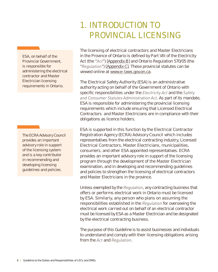## **1. INTRODUCTION TO PROVINCIAL LICENSING**

ESA, on behalf of the Provincial Government, is responsible for administering the electrical contractor and Master Electrician licensing requirements in Ontario.

The ECRA Advisory Council provides an important advisory role in support of the licensing system and is a key contributor in recommending and developing licensing guidelines and policies.

The licensing of electrical contractors and Master Electricians in the Province of Ontario is defined by Part VIII of the Electricity Act (the "*Act*") [Appendix B] and Ontario Regulation 570/05 (the "*Regulation*") [Appendix C]. These provincial statutes can be viewed online at www.e-laws.gov.on.ca.

The Electrical Safety Authority (ESA) is an administrative authority acting on behalf of the Government of Ontario with specific responsibilities under the *Electricity Act* and the *Safety and Consumer Statutes Administration Act*. As part of its mandate, ESA is responsible for administering the provincial licensing requirements which include ensuring that Licensed Electrical Contractors and Master Electricians are in compliance with their obligations as licence holders.

ESA is supported in this function by the Electrical Contractor Registration Agency (ECRA) Advisory Council which includes representatives from the electrical contracting industry, Licensed Electrical Contractors, Master Electricians, municipalities, consumers, and other ESA appointed representatives. ECRA provides an important advisory role in support of the licensing program through the development of the Master Electrician examination, and in developing and recommending guidelines and policies to strengthen the licensing of electrical contractors and Master Electricians in the province.

Unless exempted by the *Regulation*, any contracting business that offers or performs electrical work in Ontario must be licensed by ESA. Similarly, any person who plans on assuming the responsibilities established in the *Regulation* for overseeing the electrical work carried out on behalf of an electrical contractor must be licensed by ESA as a Master Electrician and be designated by the electrical contracting business.

The purpose of this Guideline is to assist businesses and individuals to understand and comply with their licensing obligations arising from the *Act* and *Regulation*.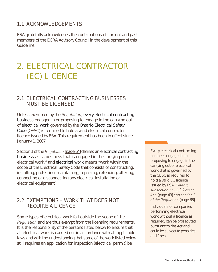## **1.1 ACKNOWLEDGEMENTS**

ESA gratefully acknowledges the contributions of current and past members of the ECRA Advisory Council in the development of this Guideline.

## **2. ELECTRICAL CONTRACTOR (EC) LICENCE**

## **2.1 ELECTRICAL CONTRACTING BUSINESSES MUST BE LICENSED**

Unless exempted by the *Regulation*, every electrical contracting business engaged in or proposing to engage in the carrying out of electrical work governed by the Ontario Electrical Safety Code (OESC) is required to hold a valid electrical contractor licence issued by ESA. This requirement has been in effect since January 1, 2007.

Section 1 of the *Regulation* [page 64] defines an electrical contracting business as "a business that is engaged in the carrying out of electrical work," and electrical work means "work within the scope of the Electrical Safety Code that consists of constructing, installing, protecting, maintaining, repairing, extending, altering, connecting or disconnecting any electrical installation or electrical equipment".

## **2.2 EXEMPTIONS – WORK THAT DOES NOT REQUIRE A LICENCE**

Some types of electrical work fall outside the scope of the *Regulation* and are thus exempt from the licensing requirements. It is the responsibility of the persons listed below to ensure that all electrical work is carried out in accordance with all applicable laws and with the understanding that some of the work listed below still requires an application for inspection (electrical permit) be

Every electrical contracting business engaged in or proposing to engage in the carrying out of electrical work that is governed by the OESC is required to hold a valid EC licence issued by ESA. *Refer to subsection 113.2 (1) of the Act,* [page 43] *and section 3 of the Regulation* [page 66].

Individuals or companies performing electrical work without a licence as required, can be prosecuted pursuant to the Act and could be subject to penalties and fines.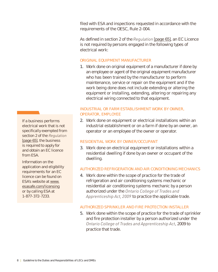filed with ESA and inspections requested in accordance with the requirements of the OESC, Rule 2-004.

As defined in section 2 of the *Regulation* [page 65], an EC Licence is not required by persons engaged in the following types of electrical work:

### ORIGINAL EQUIPMENT MANUFACTURER

1. Work done on original equipment of a manufacturer if done by an employee or agent of the original equipment manufacturer who has been trained by the manufacturer to perform maintenance, service or repair on the equipment and if the work being done does not include extending or altering the equipment or installing, extending, altering or repairing any electrical wiring connected to that equipment.

## INDUSTRIAL OR FARM ESTABLISHMENT WORK BY OWNER, OPERATOR, EMPLOYEE

2. Work done on equipment or electrical installations within an industrial establishment or on a farm if done by an owner, an operator or an employee of the owner or operator.

### RESIDENTIAL WORK BY OWNER/OCCUPANT

3. Work done on electrical equipment or installations within a residential dwelling if done by an owner or occupant of the dwelling.

## AUTHORIZED REFRIGERATION AND AIR CONDITIONING MECHANICS

4. Work done within the scope of practice for the trade of refrigeration and air conditioning systems mechanic or residential air conditioning systems mechanic by a person authorized under the *Ontario College of Trades and Apprenticeship Act, 2009* to practice the applicable trade.

## AUTHORIZED SPRINKLER AND FIRE PROTECTION INSTALLER

5. Work done within the scope of practice for the trade of sprinkler and fire protection installer by a person authorized under the *Ontario College of Trades and Apprenticeship Act*, 2009 to practice that trade.

If a business performs electrical work that is not specifically exempted from section 2 of the *Regulation* [page 65], the business is required to apply for and obtain an EC licence from ESA.

Information on the application and eligibility requirements for an EC licence can be found on ESA's website at www. esasafe.com/licensing or by calling ESA at 1-877-372-7233.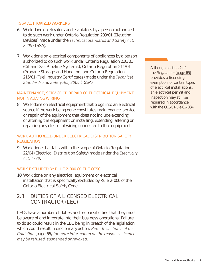## TSSA AUTHORIZED WORKERS

- 6. Work done on elevators and escalators by a person authorized to do such work under Ontario Regulation 209/01 (Elevating Devices) made under the *Technical Standards and Safety Act, 2000* (TSSA).
- 7. Work done on electrical components of appliances by a person authorized to do such work under Ontario Regulation 210/01 (Oil and Gas Pipeline Systems), Ontario Regulation 211/01 (Propane Storage and Handling) and Ontario Regulation 215/01 (Fuel Industry Certificates) made under the *Technical Standards and Safety Act, 2000* (TSSA).

## MAINTENANCE, SERVICE OR REPAIR OF ELECTRICAL EQUIPMENT NOT INVOLVING WIRING

8. Work done on electrical equipment that plugs into an electrical source if the work being done constitutes maintenance, service or repair of the equipment that does not include extending or altering the equipment or installing, extending, altering or repairing any electrical wiring connected to that equipment.

## WORK AUTHORIZED UNDER ELECTRICAL DISTRIBUTION SAFETY REGULATION

9. Work done that falls within the scope of Ontario Regulation 22/04 (Electrical Distribution Safety) made under the *Electricity Act, 1998*.

### WORK EXCLUDED BY RULE 2-000 OF THE OESC

10. Work done on any electrical equipment or electrical installation that is specifically excluded by Rule 2-000 of the Ontario Electrical Safety Code.

## **2.3 DUTIES OF A LICENSED ELECTRICAL CONTRACTOR (LEC)**

LECs have a number of duties and responsibilities that they must be aware of and integrate into their business operations. Failure to do so could result in the LEC being in breach of the legislation which could result in disciplinary action. *Refer to section 5 of this Guideline* [page 66*] for more information on the reasons a licence may be refused, suspended or revoked*.

Although section 2 of the *Regulation* [page 65] provides a licensing exemption for certain types of electrical installations, an electrical permit and inspection may still be required in accordance with the OESC Rule 02-004.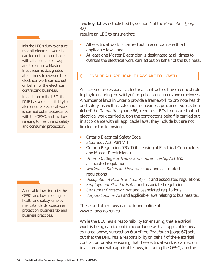Two key duties established by section 4 of the *Regulation [page 66]*

require an LEC to ensure that:

- All electrical work is carried out in accordance with all applicable laws; and
- At least one Master Electrician is designated at all times to oversee the electrical work carried out on behalf of the business.

## I) ENSURE ALL APPLICABLE LAWS ARE FOLLOWED

As licensed professionals, electrical contractors have a critical role to play in ensuring the safety of the public, consumers and employees. A number of laws in Ontario provide a framework to promote health and safety, as well as safe and fair business practices. Subsection 4(1) of the *Regulation [*page 66*]* requires LECs to ensure that all electrical work carried out on the contractor's behalf is carried out in accordance with all applicable laws; they include but are not limited to the following:

- § Ontario Electrical Safety Code
- *Electricity Act*, Part VIII
- § Ontario Regulation 570/05 (Licensing of Electrical Contractors and Master Electricians)
- § *Ontario College of Trades and Apprenticeship Act* and associated regulations
- § *Workplace Safety and Insurance Act* and associated regulations
- *Occupational Health and Safety Act* and associated regulations
- § *Employment Standards Act* and associated regulations
- *Consumer Protection Act* and associated regulations
- *Corporations Tax Act* and applicable laws relating to business tax

These and other laws can be found online at www.e-laws.gov.on.ca.

While the LEC has a responsibility for ensuring that electrical work is being carried out in accordance with all applicable laws as noted above, subsection 6(b) of the *Regulation* [page 67] sets out that the DME has a responsibility on behalf of the electrical contractor for also ensuring that the electrical work is carried out in accordance with applicable laws, including the OESC, and the

It is the LEC's duty to ensure that all electrical work is carried out in accordance with all applicable laws; and to ensure a Master Electrician is designated at all times to oversee the electrical work carried out on behalf of the electrical contracting business.

In addition to the LEC, the DME has a responsibility to also ensure electrical work is carried out in accordance with the OESC, and the laws relating to health and safety and consumer protection.

Applicable laws include: the OESC, and laws relating to health and safety, employment standards, consumer protection, business tax and business practices.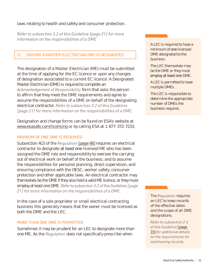laws relating to health and safety and consumer protection.

*Refer to subsection 3.2 of this Guideline [page 21] for more information on the responsibilities of a DME.*

## II) ENSURE A MASTER ELECTRICIAN (ME) IS DESIGNATED

The designation of a Master Electrician (ME) must be submitted at the time of applying for the EC licence or upon any changes of designation associated to a current EC licence. A Designated Master Electrician (DME) is required to complete an *Acknowledgement of Responsibility* form that asks the person to affirm that they meet the DME requirements and agree to assume the responsibilities of a DME on behalf of the designating electrical contractor. *Refer to subsection 3.2 of this Guideline [page 21] for more information on the responsibilities of a DME.*

Designation and change forms can be found on ESA's website at www.esasafe.com/licensing or by calling ESA at 1-877-372-7233.

## MINIMUM OF ONE DME IS REQUIRED

Subsection 4(2) of the *Regulation* [page 66] requires an electrical contractor to designate at least one licensed ME who has been assigned the DME role and responsibility to oversee the carrying out of electrical work on behalf of the business; and to assume the responsibilities for personal planning, direct supervision, and ensuring compliance with the OESC, worker safety, consumer protection and other applicable laws. An electrical contractor may themselves be the DME if they also hold a valid ME licence, or they must employ at least one DME. *Refer to subsection 3.2 of this Guideline [page 21] for more information on the responsibilities of a DME.*

In the case of a sole proprietor or small electrical contracting business this generally means that the owner must be licensed as both the DME and the LEC.

### MORE THAN ONE DME IS PERMITTED

Sometimes it may be prudent for an LEC to designate more than one ME. As the *Regulation* does not specifically prescribe when

A LEC is required to have a minimum of one licensed DME designated to the business.

The LEC themselves may be the DME or they must employ at least one DME.

A LEC is permitted to have multiple DMEs.

The LEC is responsible to determine the appropriate number of DMEs the business requires.

The *Regulation* requires an LEC to keep records of the effective dates and the scope of all DME designations.

*Refer to subsection 2.4 of this Guideline* [page 15] *for additional details on the requirements for maintaining records.*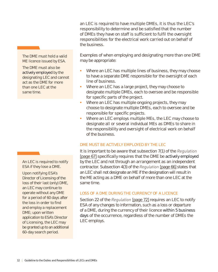an LEC is required to have multiple DMEs, it is thus the LEC's responsibility to determine and be satisfied that the number of DMEs they have on staff is sufficient to fulfil the oversight responsibilities for the electrical work carried out on behalf of the business.

Examples of when employing and designating more than one DME may be appropriate:

- Where an LEC has multiple lines of business, they may choose to have a separate DME responsible for the oversight of each line of business.
- Where an LEC has a large project, they may choose to designate multiple DMEs, each to oversee and be responsible for specific parts of the project.
- Where an LEC has multiple ongoing projects, they may choose to designate multiple DMEs, each to oversee and be responsible for specific projects.
- Where an LEC employs multiple MEs, the LEC may choose to designate all or several individual MEs as DMEs to share in the responsibility and oversight of electrical work on behalf of the business.

## DME MUST BE ACTIVELY EMPLOYED BY THE LEC

It is important to be aware that subsection 7(1) of the *Regulation* [page 67] specifically requires that the DME be actively employed by the LEC and not through an arrangement as an independent contractor. Subsection 4(3) of the *Regulation* [page 66] states that an LEC shall not designate an ME if the designation will result in the ME acting as a DME on behalf of more than one LEC at the same time.

## LOSS OF A DME DURING THE CURRENCY OF A LICENCE

Section 22 of the *Regulation* [page 72] requires an LEC to notify ESA of any changes to information, such as a loss or departure of a DME, during the currency of their licence within 5 business days of the occurrence, regardless of the number of DMEs the LEC employs.

The DME must hold a valid ME licence issued by ESA.

The DME must also be actively employed by the designating LEC and cannot act as the DME for more than one LEC at the same time.

An LEC is required to notify ESA if they lose a DME.

Upon notifying ESA's Director of Licensing of the loss of their last (only) DME, an LEC may continue to operate without any DME for a period of 60 days after the loss in order to find and employ a replacement DME; upon written application to ESA's Director of Licensing, the LEC may be granted up to an additional 60-day search period.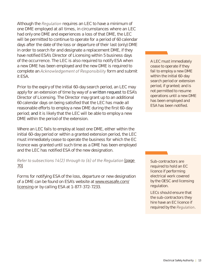Although the *Regulation* requires an LEC to have a minimum of one DME employed at all times, in circumstances where an LEC had only one DME and experiences a loss of that DME, the LEC will be permitted to continue to operate for a period of 60 calendar days after the date of the loss or departure of their last (only) DME in order to search for and designate a replacement DME, if they have notified ESA's Director of Licensing within 5 business days of the occurrence. The LEC is also required to notify ESA when a new DME has been employed and the new DME is required to complete an *Acknowledgement of Responsibility* form and submit it ESA.

Prior to the expiry of the initial 60-day search period, an LEC may apply for an extension of time by way of a written request to ESA's Director of Licensing. The Director may grant up to an additional 60 calendar days on being satisfied that the LEC has made all reasonable efforts to employ a new DME during the first 60-day period; and it is likely that the LEC will be able to employ a new DME within the period of the extension.

Where an LEC fails to employ at least one DME, either within the initial 60-day period or within a granted extension period, the LEC must immediately cease to operate the business for which the EC licence was granted until such time as a DME has been employed and the LEC has notified ESA of the new designation.

*Refer to subsections 14(2) through to (6) of the Regulation [page* 70]*.*

Forms for notifying ESA of the loss, departure or new designation of a DME can be found on ESA's website at www.esasafe.com/ licensing or by calling ESA at 1-877-372-7233.

A LEC must immediately cease to operate if they fail to employ a new DME within the initial 60-day search period or extension period, if granted; and is not permitted to resume operations until a new DME has been employed and ESA has been notified.

Sub-contractors are required to hold an EC licence if performing electrical work covered by the OESC and licensing regulation.

LECs should ensure that the sub-contractors they hire have an EC licence if required by the *Regulation*.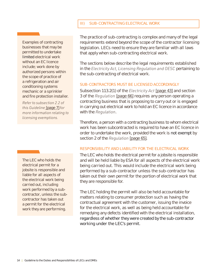## III) SUB-CONTRACTING ELECTRICAL WORK

Examples of contracting businesses that may be permitted to undertake limited electrical work without an EC licence include; work done by authorized persons within the scope of practice of a refrigeration and air conditioning systems mechanic or a sprinkler and fire protection installer.

*Refer to subsection 2.2 of this Guideline* [page 7] *for more information relating to licensing exemptions.*

The LEC who holds the electrical permit for a jobsite is responsible and liable for all aspects of the electrical work being carried out, including work performed by a subcontractor, unless the subcontractor has taken out a permit for the electrical work they are performing.

The practice of sub-contracting is complex and many of the legal requirements extend beyond the scope of the contractor licensing legislation. LECs need to ensure they are familiar with all laws that apply when sub-contracting electrical work.

The sections below describe the legal requirements established in the *Electricity Act, Licensing Regulation and OESC* pertaining to the sub-contracting of electrical work.

### SUB-CONTRACTORS MUST BE LICENSED ACCORDINGLY

Subsection 113.2(1) of the *Electricity Act* [page 43] and section 3 of the *Regulation* [page 66] requires any person operating a contracting business that is proposing to carry out or is engaged in carrying out electrical work to hold an EC licence in accordance with the *Regulation*.

Therefore, a person with a contracting business to whom electrical work has been subcontracted is required to have an EC licence in order to undertake the work, provided the work is not exempt by section 2 of the *Regulation* [page 65].

### RESPONSIBILITY AND LIABILITY FOR THE ELECTRICAL WORK

The LEC who holds the electrical permit for a jobsite is responsible and will be held liable by ESA for all aspects of the electrical work being carried out. This would include the electrical work being performed by a sub-contractor unless the sub-contractor has taken out their own permit for the portion of electrical work that they are responsible for.

The LEC holding the permit will also be held accountable for matters relating to consumer protection such as having the contractual agreement with the customer, issuing the invoice for the electrical work, as well as being held accountable for remedying any defects identified with the electrical installation, regardless of whether they were created by the sub-contractor working under the LEC's permit.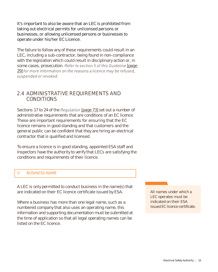It's important to also be aware that an LEC is prohibited from taking out electrical permits for unlicensed persons or businesses, or allowing unlicensed persons or businesses to operate under his/her EC Licence.

The failure to follow any of these requirements could result in an LEC, including a sub-contractor, being found in non-compliance with the legislation which could result in disciplinary action or, in some cases, prosecution. *Refer to section 5 of this Guideline* [page 29] *for more information on the reasons a licence may be refused, suspended or revoked.*

## **2.4 ADMINISTRATIVE REQUIREMENTS AND CONDITIONS**

Sections 17 to 24 of the *Regulation* [page 73] set out a number of administrative requirements that are conditions of an EC licence. These are important requirements for ensuring that the EC licence remains in good standing and that customers and the general public can be confident that they are hiring an electrical contractor that is qualified and licensed.

To ensure a licence is in good standing, appointed ESA staff and Inspectors have the authority to verify that LECs are satisfying the conditions and requirements of their licence.

## I) BUSINESS NAME

A LEC is only permitted to conduct business in the name(s) that are indicated on their EC licence certificate issued by ESA.

Where a business has more than one legal name, such as a numbered company that also uses an operating name, this information and supporting documentation must be submitted at the time of application so that all legal operating names can be listed on the EC licence.

All names under which a LEC operates must be indicated on their ESA issued EC licence certificate.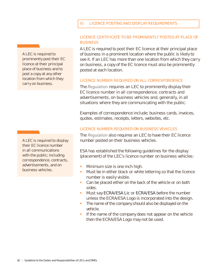## II) LICENCE POSTING AND DISPLAY REQUIREMENTS

### LICENCE CERTIFICATE TO BE PROMINENTLY POSTED AT PLACE OF **BUSINESS**

A LEC is required to post their EC licence at their principal place of business in a prominent location where the public is likely to see it. If an LEC has more than one location from which they carry on business, a copy of the EC licence must also be prominently posted at each location.

### LICENCE NUMBER REQUIRED ON ALL CORRESPONDENCE

The *Regulation* requires an LEC to prominently display their EC licence number in all correspondence, contracts and advertisements, on business vehicles and, generally, in all situations where they are communicating with the public.

Examples of correspondence include; business cards, invoices, quotes, estimates, receipts, letters, websites, etc.

### LICENCE NUMBER REQUIRED ON BUSINESS VEHICLES

The *Regulation* also requires an LEC to have their EC licence number posted on their business vehicles.

ESA has established the following guidelines for the display (placement) of the LEC's licence number on business vehicles:

- Minimum size is one inch high.
- Must be in either black or white lettering so that the licence number is easily visible.
- Can be placed either on the back of the vehicle or on both sides.
- **Must say ECRA/ESA Lic or ECRA/ESA** before the number unless the ECRA/ESA Logo is incorporated into the design.
- The name of the company should also be displayed on the vehicle.
- If the name of the company does not appear on the vehicle then the ECRA/ESA Logo may not be used.

A LEC is required to prominently post their EC licence at their principal place of business and to post a copy at any other location from which they carry on business.

A LEC is required to display their EC licence number in all communications with the public; including correspondence, contracts, advertisements, and on business vehicles.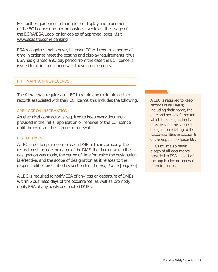For further guidelines relating to the display and placement of the EC licence number on business vehicles, the usage of the ECRA/ESA Logo, or for copies of approved logos, visit www.esasafe.com/licensing.

ESA recognizes that a newly licensed EC will require a period of time in order to meet the posting and display requirements, thus ESA has granted a 90-day period from the date the EC licence is issued to be in compliance with these requirements.

## III) MAINTAINING RECORDS

The *Regulation* requires an LEC to retain and maintain certain records associated with their EC licence, this includes the following:

### APPLICATION INFORMATION

An electrical contractor is required to keep every document provided in the initial application or renewal of the EC licence until the expiry of the licence or renewal.

### LIST OF DMES

A LEC must keep a record of each DME at their company. The record must include the name of the DME, the date on which the designation was made, the period of time for which the designation is effective, and the scope of designation as it relates to the responsibilities prescribed by section 6 of the *Regulation* [page 66].

A LEC is required to notify ESA of any loss or departure of DMEs within 5 business days of the occurrence, as well as promptly notify ESA of any newly designated DMEs.

A LEC is required to keep records of all DMEs; including their name, the date and period of time for which the designation is effective and the scope of designation relating to the responsibilities in section 6 of the *Regulation* [page 66].

LECs must also retain a copy of all documents provided to ESA as part of the application or renewal of their licence.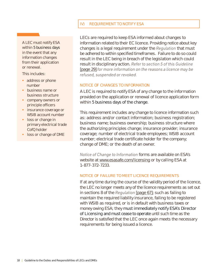## IV) REQUIREMENT TO NOTIFY ESA

A LEC must notify ESA within 5 business days in the event that any information changes from their application or renewal.

This includes:

- address or phone number
- § business name or business structure
- § company owners or principle officers
- **•** insurance coverage or WSIB account number
- **•** loss or change in primary electrical trade CofQ holder
- loss or change of DME

LECs are required to keep ESA informed about changes to information related to their EC licence. Providing notice about key changes is a legal requirement under the *Regulation* that must be adhered to within specified timeframes. Failure to do so could result in the LEC being in breach of the legislation which could result in disciplinary action. *Refer to section 5 of this Guideline*  [page 29] *for more information on the reasons a licence may be refused, suspended or revoked.*

### NOTICE OF CHANGES TO INFORMATION

A LEC is required to notify ESA of any change to the information provided on the application or renewal of licence application form within 5 business days of the change.

This requirement includes any change to licence information such as: address and/or contact information; business registration; business name; business ownership; business structure where the authorizing principles change; insurance provider; insurance coverage; number of electrical trade employees; WSIB account number; electrical trade certificate holder for the company; change of DME; or the death of an owner.

*Notice of Change to Information* forms are available on ESA's website at www.esasafe.com/licensing or by calling ESA at 1-877-372-7233.

### NOTICE OF FAILURE TO MEET LICENCE REQUIREMENTS

If at any time during the course of the validity period of the licence, the LEC no longer meets any of the licence requirements as set out in sections 8 of the *Regulation* [page 67]; such as failing to maintain the required liability insurance, failing to be registered with WSIB as required, or is in default with business taxes or money owing ESA; they must immediately notify ESA's Director of Licensing and must cease to operate until such time as the Director is satisfied that the LEC once again meets the necessary requirements for being issued a licence.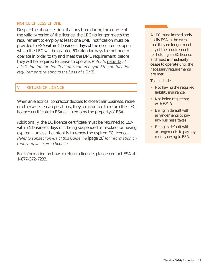### NOTICE OF LOSS OF DME

Despite the above section, if at any time during the course of the validity period of the licence, the LEC no longer meets the requirement to employ at least one DME, notification must be provided to ESA within 5 business days of the occurrence, upon which the LEC will be granted 60 calendar days to continue to operate in order to try and meet the DME requirement, before they will be required to cease to operate. *Refer to* page 12 *of this Guideline for detailed information beyond the notification requirements relating to the Loss of a DME.*

## V) RETURN OF LICENCE

When an electrical contractor decides to close their business, retire or otherwise cease operations, they are required to return their EC licence certificate to ESA as it remains the property of ESA.

Additionally, the EC licence certificate must be returned to ESA within 5 business days of it being suspended or revoked; or having expired – unless the intent is to renew the expired EC licence. *Refer to subsection 4.1 of this Guideline* [page 28] *for information on renewing an expired licence.*

For information on how to return a licence, please contact ESA at 1-877-372-7233.

A LEC must immediately notify ESA in the event that they no longer meet any of the requirements for holding an EC licence and must immediately cease to operate until the necessary requirements are met.

This includes:

- Not having the required liability insurance.
- Not being registered with WSIB.
- **Being in default with** arrangements to pay any business taxes.
- **Being in default with** arrangements to pay any money owing to ESA.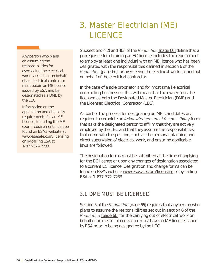## **3. Master Electrician (ME) LICENCE**

Any person who plans on assuming the responsibilities for overseeing the electrical work carried out on behalf of an electrical contractor must obtain an ME licence issued by ESA and be designated as a DME by the LEC.

Information on the application and eligibility requirements for an ME licence, including the ME exam requirements, can be found on ESA's website at www.esasafe.com/licensing or by calling ESA at 1-877-372-7233.

Subsections 4(2) and 4(3) of the *Regulation* [page 66] define that a prerequisite for obtaining an EC licence includes the requirement to employ at least one individual with an ME licence who has been designated with the responsibilities defined in section 6 of the *Regulation* [page 66] for overseeing the electrical work carried out on behalf of the electrical contractor.

In the case of a sole proprietor and for most small electrical contracting businesses, this will mean that the owner must be licensed as both the Designated Master Electrician (DME) and the Licensed Electrical Contractor (LEC).

As part of the process for designating an ME, candidates are required to complete an *Acknowledgement of Responsibility* form that asks the designated person to affirm that they are actively employed by the LEC and that they assume the responsibilities that come with the position, such as the personal planning and direct supervision of electrical work, and ensuring applicable laws are followed.

The designation forms must be submitted at the time of applying for the EC licence or upon any changes of designation associated to a current EC licence. Designation and change forms can be found on ESA's website www.esasafe.com/licensing or by calling ESA at 1-877-372-7233.

## **3.1 DME MUST BE LICENSED**

Section 5 of the *Regulation* [page 66] requires that any person who plans to assume the responsibilities set out in section 6 of the *Regulation* [page 66] for the carrying out of electrical work on behalf of an electrical contractor must have an ME licence issued by ESA prior to being designated by the LEC.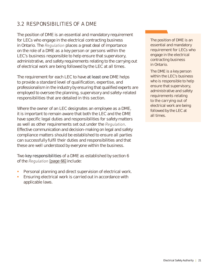## **3.2 RESPONSIBILITIES OF A DME**

The position of DME is an essential and mandatory requirement for LECs who engage in the electrical contracting business in Ontario. The *Regulation* places a great deal of importance on the role of a DME as a key person or persons within the LEC's business responsible to help ensure that supervisory, administrative, and safety requirements relating to the carrying out of electrical work are being followed by the LEC at all times.

The requirement for each LEC to have at least one DME helps to provide a standard level of qualification, expertise, and professionalism in the industry by ensuring that qualified experts are employed to oversee the planning, supervisory and safety-related responsibilities that are detailed in this section.

Where the owner of an LEC designates an employee as a DME, it is important to remain aware that both the LEC and the DME have specific legal duties and responsibilities for safety matters as well as other requirements set out under the *Regulation*. Effective communication and decision-making on legal and safety compliance matters should be established to ensure all parties can successfully fulfil their duties and responsibilities and that these are well understood by everyone within the business.

Two key responsibilities of a DME as established by section 6 of the *Regulation* [page 66] include:

- Personal planning and direct supervision of electrical work.
- Ensuring electrical work is carried out in accordance with applicable laws.

The position of DME is an essential and mandatory requirement for LECs who engage in the electrical contracting business in Ontario.

The DME is a key person within the LEC's business who is responsible to help ensure that supervisory, administrative and safety requirements relating to the carrying out of electrical work are being followed by the LEC at all times.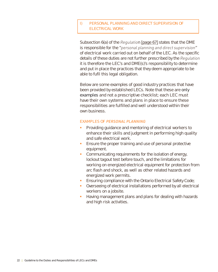## I) PERSONAL PLANNING AND DIRECT SUPERVISION OF ELECTRICAL WORK

Subsection 6(a) of the *Regulatio*n [page 67] states that the DME is responsible for the "*personal planning and direct supervision*" of electrical work carried out on behalf of the LEC. As the specific details of these duties are not further prescribed by the *Regulation* it is therefore the LEC's and DME(s)'s responsibility to determine and put in place the practices that they deem appropriate to be able to fufil this legal obligation.

Below are some examples of good industry practices that have been provided by established LECs. Note that these are only examples and not a prescriptive checklist; each LEC must have their own systems and plans in place to ensure these responsibilities are fulfilled and well understood within their own business.

### EXAMPLES OF *PERSONAL PLANNING*

- **•** Providing guidance and mentoring of electrical workers to enhance their skills and judgment in performing high quality and safe electrical work.
- **Ensure the proper training and use of personal protective** equipment.
- Communicating requirements for the isolation of energy, lockout tagout test before touch, and the limitations for working on energized electrical equipment for protection from arc flash and shock, as well as other related hazards and energized work permits.
- Ensuring compliance with the Ontario Electrical Safety Code;
- § Overseeing of electrical installations performed by all electrical workers on a jobsite.
- Having management plans and plans for dealing with hazards and high risk activities.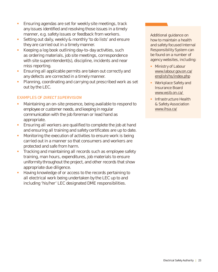- Ensuring agendas are set for weekly site meetings, track any issues identified and resolving those issues in a timely manner, e.g. safety issues or feedback from workers.
- Setting out daily, weekly & monthly 'to do lists' and ensure they are carried out in a timely manner.
- § Keeping a log book outlining day-to-day activities, such as ordering materials, job site meetings, correspondence with site superintendent(s), discipline, incidents and near miss reporting.
- **Ensuring all applicable permits are taken out correctly and** any defects are corrected in a timely manner.
- § Planning, coordinating and carrying out prescribed work as set out by the LEC.

## EXAMPLES OF *DIRECT SUPERVISION*

- Maintaining an on-site presence, being available to respond to employee or customer needs, and keeping in regular communication with the job foreman or lead hand as appropriate.
- Ensuring all workers are qualified to complete the job at hand and ensuring all training and safety certificates are up to date.
- § Monitoring the execution of activities to ensure work is being carried out in a manner so that consumers and workers are protected and safe from harm.
- § Tracking and maintaining all records such as employee safety training, man hours, expenditures, job materials to ensure uniformity throughout the project, and other records that show appropriate due diligence.
- § Having knowledge of or access to the records pertaining to all electrical work being undertaken by the LEC up to and including 'his/her' LEC designated DME responsibilities.

Additional guidance on how to maintain a health and safety focused Internal Responsibility System can be found on a number of agency websites, including:

- Ministry of Labour www.labour.gov.on.ca/ english/hs/index.php
- § Workplace Safety and Insurance Board www.wsib.on.ca/
- **Infrastructure Health** & Safety Association www.ihsa.ca/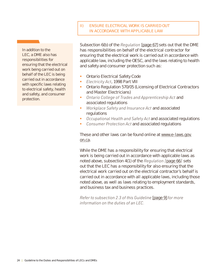## II) ENSURE ELECTRICAL WORK IS CARRIED OUT IN ACCORDANCE WITH APPLICABLE LAW

In addition to the LEC, a DME also has responsibilities for ensuring that the electrical work being carried out on behalf of the LEC is being carried out in accordance with specific laws relating to electrical safety, health and safety, and consumer protection.

Subsection 6(b) of the *Regulation* [page 67] sets out that the DME has responsibilities on behalf of the electrical contractor for ensuring that the electrical work is carried out in accordance with applicable law, including the OESC, and the laws relating to health and safety and consumer protection such as:

- Ontario Electrical Safety Code
- *Electricity Act*, 1998 Part VIII
- § Ontario Regulation 570/05 (Licensing of Electrical Contractors and Master Electricians)
- § *Ontario College of Trades and Apprenticeship Act* and associated regulations
- *Workplace Safety and Insurance Act* and associated regulations
- § *Occupational Health and Safety Act* and associated regulations
- § *Consumer Protection Act* and associated regulations

These and other laws can be found online at www.e-laws.gov. on.ca.

While the DME has a responsibility for ensuring that electrical work is being carried out in accordance with applicable laws as noted above, subsection 4(1) of the *Regulation [*page 66*]* sets out that the LEC has a responsibility for also ensuring that the electrical work carried out on the electrical contractor's behalf is carried out in accordance with all applicable laws, including those noted above, as well as laws relating to employment standards, and business tax and business practices.

*Refer to subsection 2.3 of this Guideline* [page 9] *for more information on the duties of an LEC.*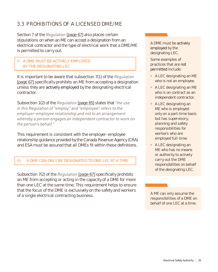## **3.3 PROHIBITIONS OF A LICENSED DME/ME**

Section 7 of the *Regulation* [page 67] also places certain stipulations on when an ME can accept a designation from an electrical contractor and the type of electrical work that a DME/ME is permitted to carry out.

## I) A DME MUST BE ACTIVELY EMPLOYED BY THE DESIGNATING LEC

It is important to be aware that subsection 7(1) of the *Regulation* [page 67] specifically prohibits an ME from accepting a designation unless they are **actively employed** by the designating electrical contractor.

Subsection 1(2) of the *Regulation* [page 65] states that *"the use in this Regulation of "employ" and "employee" refers to the employer-employee relationship and not to an arrangement whereby a person engages an independent contractor to work on the person's behalf."*

This requirement is consistent with the employer-employee relationship guidance provided by the Canada Revenue Agency (CRA) and ESA must be assured that all DMEs fit within these definitions.

## II) A DME CAN ONLY BE DESIGNATED TO ONE LEC AT A TIME

Subsection 7(2) of the *Regulation* [page 67] specifically prohibits an ME from accepting or acting in the capacity of a DME for more than one LEC at the same time. This requirement helps to ensure that the focus of the DME is exclusively on the safety and workers of a single electrical contracting business.

A DME must be actively employed by the designating LEC.

Some examples of practices that are not permitted include:

- § A LEC designating an ME who is not an employee.
- § A LEC designating an ME who is on contract as an independent contractor.
- A LEC designating an ME who is employed only on a part-time basis but has supervisory, planning and safety responsibilities for workers who are employed full-time.
- A LEC designating an ME who has no means or authority to actively carry out the DME responsibilities on behalf of the designating LEC.

responsibilities of a DME on behalf of one LEC at a time.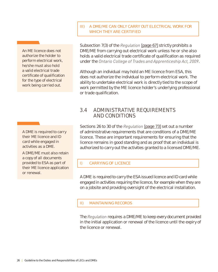## III) A DME/ME CAN ONLY CARRY OUT ELECTRICAL WORK FOR WHICH THEY ARE CERTIFIED

An ME licence does not authorize the holder to perform electrical work, he/she must also hold a valid electrical trade certificate of qualification for the type of electrical work being carried out.

A DME is required to carry their ME licence and ID card while engaged in activities as a DME.

A DME/ME must also retain a copy of all documents provided to ESA as part of their ME licence application or renewal.

Subsection 7(3) of the *Regulation* [page 67] strictly prohibits a DME/ME from carrying out electrical work unless he or she also holds a valid electrical trade certificate of qualification as required under the *Ontario College of Trades and Apprenticeship Act, 2009*.

Although an individual may hold an ME licence from ESA, this does not authorize the individual to perform electrical work. The ability to undertake electrical work is directly tied to the scope of work permitted by the ME licence holder's underlying professional or trade qualification.

## **3.4 ADMINISTRATIVE REQUIREMENTS AND CONDITIONS**

Sections 26 to 30 of the *Regulation* [page 73] set out a number of administrative requirements that are conditions of a DME/ME licence. These are important requirements for ensuring that the licence remains in good standing and as proof that an individual is authorized to carry out the activities granted to a licensed DME/ME.

## I) CARRYING OF LICENCE

A DME is required to carry the ESA issued licence and ID card while engaged in activities requiring the licence, for example when they are on a jobsite and providing oversight of the electrical installation.

## II) MAINTAINING RECORDS

The *Regulation* requires a DME/ME to keep every document provided in the initial application or renewal of the licence until the expiry of the licence or renewal.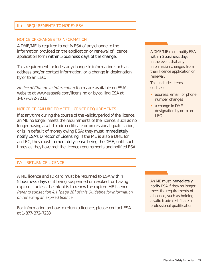### III) REQUIREMENTS TO NOTIFY ESA

#### NOTICE OF CHANGES TO INFORMATION

A DME/ME is required to notify ESA of any change to the information provided on the application or renewal of licence application form within 5 business days of the change.

This requirement includes any change to information such as: address and/or contact information, or a change in designation by or to an LEC.

*Notice of Change to Information* forms are available on ESA's website at www.esasafe.com/licensing or by calling ESA at 1-877-372-7233.

#### NOTICE OF FAILURE TO MEET LICENCE REQUIREMENTS

If at any time during the course of the validity period of the licence, an ME no longer meets the requirements of the licence; such as no longer having a valid trade certificate or professional qualification, or is in default of money owing ESA; they must *immediately* notify ESA's Director of Licensing. If the ME is also a DME for an LEC, they must immediately cease being the DME, until such times as they have met the licence requirements and notified ESA.

### IV) RETURN OF LICENCE

A ME licence and ID card must be returned to ESA within 5 business days of it being suspended or revoked; or having expired – unless the intent is to renew the expired ME licence. *Refer to subsection 4.1 [page 28] of this Guideline for information on renewing an expired licence.*

For information on how to return a licence, please contact ESA at 1-877-372-7233.

A DME/ME must notify ESA within 5 business days in the event that any information changes from their licence application or renewal.

This includes items such as:

- address, email, or phone number changes
- a change in DME designation by or to an LEC

An ME must immediately notify ESA if they no longer meet the requirements of a licence, such as holding a valid trade certificate or professional qualification.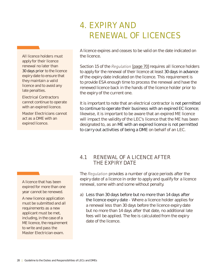## **4. EXPIRY AND RENEWAL OF LICENCES**

All licence holders must apply for their licence renewal no later than 30 days prior to the licence expiry date to ensure that they maintain a valid licence and to avoid any late penalties.

Electrical Contractors cannot continue to operate with an expired licence.

Master Electricians cannot act as a DME with an expired licence.

A licence expires and ceases to be valid on the date indicated on the licence.

Section 15 of the *Regulation* [page 70] requires all licence holders to apply for the renewal of their licence at least 30 days in advance of the expiry date indicated on the licence. This requirement is to provide ESA enough time to process the renewal and have the renewed licence back in the hands of the licence holder prior to the expiry of the current one.

It is important to note that an electrical contractor is **not permitted** to continue to operate their business with an expired EC licence; likewise, it is important to be aware that an expired ME licence will impact the validity of the LEC's licence that the ME has been designated to, as an ME with an expired licence is not permitted to carry out activities of being a DME on behalf of an LEC.

A licence that has been expired for more than one year cannot be renewed.

A new licence application must be submitted and all requirements as a new applicant must be met, including, in the case of a ME licence, the requirement to write and pass the Master Electrician exam.

## **4.1 RENEWAL OF A LICENCE AFTER THE EXPIRY DATE**

The *Regulation* provides a number of grace periods after the expiry date of a licence in order to apply and qualify for a licence renewal, some with and some without penalty.

a) Less than 30 days before but no more than 14 days after the licence expiry date - Where a licence holder applies for a renewal less than 30 days before the licence expiry date but no more than 14 days after that date, no additional late fees will be applied. The fee is calculated from the expiry date of the licence.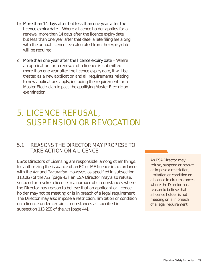- b) More than 14 days after but less than one year after the **licence expiry date** – Where a licence holder applies for a renewal more than 14 days after the licence expiry date but less than one year after that date, a late filing fee along with the annual licence fee calculated from the expiry date will be required.
- c) More than one year after the licence expiry date  $-$  Where an application for a renewal of a licence is submitted more than one year after the licence expiry date, it will be treated as a new application and all requirements relating to new applications apply, including the requirement for a Master Electrician to pass the qualifying Master Electrician examination.

## **5. LICENCE REFUSAL, SUSPENSION OR REVOCATION**

## **5.1 REASONS THE DIRECTOR MAY PROPOSE TO TAKE ACTION ON A LICENCE**

ESA's Directors of Licensing are responsible, among other things, for authorizing the issuance of an EC or ME licence in accordance with the *Act* and *Regulation*. However, as specified in subsection 113.2(2) of the *Act* [page 43], an ESA Director may also refuse, suspend or revoke a licence in a number of circumstances where the Director has reason to believe that an applicant or licence holder may not be meeting or is in breach of a legal requirement. The Director may also impose a restriction, limitation or condition on a licence under certain circumstances as specified in subsection 113.2(3) of the *Act* [page 44].

An ESA Director may refuse, suspend or revoke, or impose a restriction, limitation or condition on a licence in circumstances where the Director has reason to believe that a licence holder is not meeting or is in breach of a legal requirement.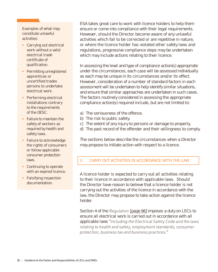Examples of what may constitute unlawful activities:

- Carrying out electrical work without a valid electrical trade certificate of qualification.
- Permitting unregistered apprentices or uncertified trades persons to undertake electrical work.
- Performing electrical installations contrary to the requirements of the OESC.
- Failure to maintain the safety of workers as required by health and safety laws.
- Failure to acknowledge the rights of consumers or follow applicable consumer protection laws.
- Continuing to operate with an expired licence.
- Falsifying inspection documentation.

ESA takes great care to work with licence holders to help them ensure or come into compliance with their legal requirements. However, should the Director become aware of any unlawful activities which fail to be corrected or are repetitive in nature, or where the licence holder has violated other safety laws and regulations, progressive compliance steps may be undertaken which may include actions relating to their licence.

In assessing the level and type of compliance action(s) appropriate under the circumstances, each case will be assessed individually as each may be unique in its circumstances and/or its effect. However, consideration of a number of standard factors in each assessment will be undertaken to help identify similar situations, and ensure that similar approaches are undertaken in such cases. The factors routinely considered in assessing the appropriate compliance action(s) required include, but are not limited to:

- a) The seriousness of the offence.
- b) The risk to public safety.
- c) The extent of any injury to persons or damage to property.
- d) The past record of the offender and their willingness to comply.

The sections below describe the circumstances when a Director may propose to initiate action with respect to a licence.

## I) CARRY OUT ACTIVITIES IN ACCORDANCE WITH THE LAW

A licence holder is expected to carry out all activities relating to their licence in accordance with applicable laws. Should the Director have reason to believe that a licence holder is not carrying out the activities of the licence in accordance with the law, the Director may propose to take action against the licence holder.

Section 4 of the *Regulation* [page 66] imposes a duty on LECs to ensure all electrical work is carried out in accordance with all applicable laws "*including the Electrical Safety Code and the laws relating to health and safety, employment standards, consumer protection, business tax and business practices*."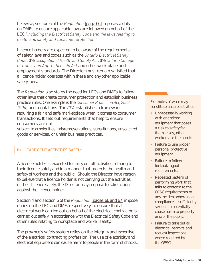Likewise, section 6 of the *Regulation* [page 66] imposes a duty on DMEs to ensure applicable laws are followed on behalf of the LEC "*including the Electrical Safety Code and the laws relating to health and safety and consumer protection.*"

Licence holders are expected to be aware of the requirements of safety laws and codes such as the *Ontario Electrical Safety Code*, the *Occupational Health and Safety Act*, the *Ontario College of Trades and Apprenticeship Act* and other work place and employment standards. The Director must remain satisfied that a licence holder operates within these and any other applicable safety laws.

The *Regulation* also states the need for LECs and DMEs to follow other laws that create consumer protection and establish business practice rules. One example is the *Consumer Protection Act, 2002 (CPA)* and regulations. The *CPA* establishes a framework requiring a fair and safe marketplace when it comes to consumer transactions. It sets out requirements that help to ensure consumers are not

subject to ambiguities, misrepresentations, substitutions, unsolicited goods or services, or unfair business practices.

## II) CARRY OUT ACTIVITIES SAFELY

A licence holder is expected to carry out all activities relating to their licence safely and in a manner that protects the health and safety of workers and the public. Should the Director have reason to believe that a licence holder is not carrying out the activities of their licence safely, the Director may propose to take action against the licence holder.

Section 4 and section 6 of the *Regulation* [pages 66 and 67] impose duties on the LEC and DME, respectively, to ensure that all electrical work carried out on behalf of the electrical contractor is carried out safely in accordance with the Electrical Safety Code and other rules relating to workplace and worker safety.

The province's safety system relies on the integrity and expertise of the electrical contracting profession. The use of electricity and electrical equipment can cause harm to people in the form of shocks, Examples of what may constitute unsafe activities:

- **Unnecessarily working** with energized equipment that poses a risk to safety for themselves, other workers, or the public.
- Failure to use proper personal protective equipment.
- Failure to follow lockout/tagout requirements.
- Repeated pattern of performing work that fails to conform to the OESC requirements or any incident where noncompliance is sufficiently serious to potentially cause harm to property and/or the public.
- Failure to take out all electrical permits and request inspections where required by the OESC.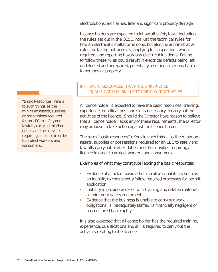electrocutions, arc flashes, fires and significant property damage.

Licence holders are expected to follow all safety laws; including the rules set out in the OESC, not just the technical rules for how an electrical installation is done, but also the administrative rules for taking out permits, applying for inspections where required, and reporting hazardous electrical incidents. Failing to follow these rules could result in electrical defects being left undetected and unrepaired, potentially resulting in serious harm to persons or property.

## III) BASIC RESOURCES, TRAINING, EXPERIENCE, QUALIFICATIONS, SKILLS TO CARRY OUT ACTIVITIES

A licence holder is expected to have the basic resources, training, experience, qualifications, and skills necessary to carry out the activities of the licence. Should the Director have reason to believe that a licence holder lacks any of these requirements, the Director may propose to take action against the licence holder.

The term "basic resources" refers to such things as the minimum assets, supplies or possessions required for an LEC to safely and lawfully carry out his/her duties and the activities requiring a licence in order to protect workers and consumers.

## Examples of what may constitute lacking the basic resources:

- Evidence of a lack of basic administrative capabilities such as an inability to consistently follow required processes for permit application.
- Inability to provide workers with training and related materials, or minimum safety equipment.
- Evidence that the business is unable to carry out work obligations, is inadequately staffed, is financially negligent or has declared bankruptcy.

It is also expected that a licence holder has the required training, experience, qualifications and skills required to carry out the activities relating to the licence.

"Basic Resources" refers to such things as the minimum assets, supplies or possessions required for an LEC to safely and lawfully carry out his/her duties and the activities requiring a licence in order to protect workers and consumers.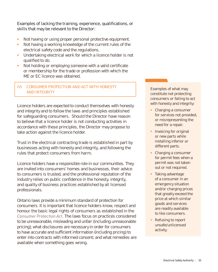Examples of lacking the training, experience, qualifications, or skills that may be relevant to the Director:

- Not having or using proper personal protective equipment.
- § Not having a working knowledge of the current rules of the electrical safety code and the regulations.
- Undertaking electrical work for which a licence holder is not qualified to do.
- Not holding or employing someone with a valid certificate or membership for the trade or profession with which the ME or EC licence was obtained.

## IV) CONSUMER PROTECTION AND ACT WITH HONESTY AND INTEGRITY

Licence holders are expected to conduct themselves with honesty and integrity and to follow the laws and principles established for safeguarding consumers. Should the Director have reason to believe that a licence holder is not conducting activities in accordance with these principles, the Director may propose to take action against the licence holder.

Trust in the electrical contracting trade is established in part by businesses acting with honesty and integrity, and following the rules that protect consumers from harm.

Licence holders have a responsible role in our communities. They are invited into consumers' homes and businesses, their advice to consumers is trusted, and the professional reputation of the industry relies on public confidence in the honesty, integrity, and quality of business practices established by all licensed professionals.

Ontario laws provide a minimum standard of protection for consumers. It is important that licence holders know, respect and honour the basic legal rights of consumers as established in the *Consumer Protection Act*. The laws focus on practices considered to be unreasonable, misleading and unfair (including unreasonable pricing); what disclosures are necessary in order for consumers to have accurate and sufficient information (including pricing) to enter into contracts with informed consent; and what remedies are available when something goes wrong.

Examples of what may constitute not protecting consumers or failing to act with honesty and integrity:

- Charging a consumer for services not provided, or misrepresenting the need for a repair.
- **•** Invoicing for original or new parts while installing inferior or different parts.
- Charging a consumer for permit fees when a permit was not taken out or not required.
- Taking advantage of a consumer in an emergency situation and/or charging prices that greatly exceed the price at which similar goods and services are readily available to like consumers.
- Refusing to report unsafe/unlicensed activity.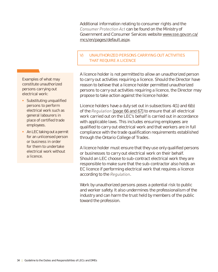Additional information relating to consumer rights and the *Consumer Protection Act* can be found on the Ministry of Government and Consumer Services website www.sse.gov.on.ca/ mcs/en/pages/default.aspx.

## V) UNAUTHORIZED PERSONS CARRYING OUT ACTIVITIES THAT REQUIRE A LICENCE

A licence holder is not permitted to allow an unauthorized person to carry out activities requiring a licence. Should the Director have reason to believe that a licence holder permitted unauthorized persons to carry out activities requiring a licence, the Director may propose to take action against the licence holder.

Licence holders have a duty set out in subsections 4(1) and 6(b) of the *Regulation* [page 66 and 67] to ensure that all electrical work carried out on the LEC's behalf is carried out in accordance with applicable laws. This includes ensuring employees are qualified to carry out electrical work and that workers are in full compliance with the trade qualification requirements established through the Ontario College of Trades.

A licence holder must ensure that they use only qualified persons or businesses to carry out electrical work on their behalf. Should an LEC choose to sub-contract electrical work they are responsible to make sure that the sub-contractor also holds an EC licence if performing electrical work that requires a licence according to the *Regulation*.

Work by unauthorized persons poses a potential risk to public and worker safety. It also undermines the professionalism of the industry and can harm the trust held by members of the public toward the profession.

Examples of what may constitute unauthorized persons carrying out electrical work:

- **•** Substituting unqualified persons to perform electrical work such as general labourers in place of certified trade employees.
- An LEC taking out a permit for an unlicensed person or business in order for them to undertake electrical work without a licence.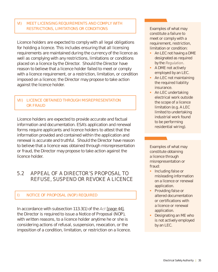## VI) MEET LICENSING REQUIREMENTS AND COMPLY WITH RESTRICTIONS, LIMITATIONS OR CONDITIONS

Licence holders are expected to comply with all legal obligations for holding a licence. This includes ensuring that all licensing requirements are maintained during the currency of the licence as well as complying with any restrictions, limitations or conditions placed on a licence by the Director. Should the Director have reason to believe that a licence holder failed to meet or comply with a licence requirement, or a restriction, limitation, or condition imposed on a licence; the Director may propose to take action against the licence holder.

## VII) LICENCE OBTAINED THROUGH MISREPRESENTATION OR FRAUD

Licence holders are expected to provide accurate and factual information and documentation. ESA's application and renewal forms require applicants and licence holders to attest that the information provided and contained within the application and renewal is accurate and truthful. Should the Director have reason to believe that a licence was obtained through misrepresentation or fraud, the Director may propose to take action against the licence holder.

## **5.2 APPEAL OF A DIRECTOR'S PROPOSAL TO REFUSE, SUSPEND OR REVOKE A LICENCE**

## I) NOTICE OF PROPOSAL (NOP) REQUIRED

In accordance with subsection 113.3(1) of the *Act* [page 44], the Director is required to issue a Notice of Proposal (NOP), with written reasons, to a licence holder anytime he or she is considering actions of refusal, suspension, revocation, or the imposition of a condition, limitation, or restriction on a licence. Examples of what may constitute a failure to meet or comply with a requirement, restriction, limitation or condition:

- An LEC not having a DME designated as required by the *Regulation*.
- A DME not actively employed by an LEC.
- An LEC not maintaining the required liability insurance.
- An LEC undertaking electrical work outside the scope of a licence limitation (e.g. A LEC limited to undertaking industrial work found to be performing residential wiring).

Examples of what may constitute obtaining a licence through misrepresentation or fraud:

- **•** Including false or misleading information on a licence or renewal application.
- Providing false or altered documentation or certifications with a licence or renewal application.
- Designating an ME who is not actively employed by an LEC.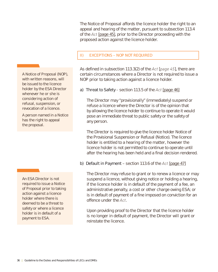The Notice of Proposal affords the licence holder the right to an appeal and hearing of the matter, pursuant to subsection 113.4 of the *Act* [page 45], prior to the Director proceeding with the proposed action against the licence holder.

## II) EXCEPTIONS – NOP NOT REQUIRED

As defined in subsection 113.3(2) of the *Act* [*page 45*], there are certain circumstances where a Director is not required to issue a NOP prior to taking action against a licence holder.

## a) Threat to Safety - section 113.5 of the *Act* [page 46]

The Director may "provisionally" (immediately) suspend or refuse a licence where the Director is of the opinion that by allowing the licence holder to continue to operate it would pose an immediate threat to public safety or the safety of any person.

The Director is required to give the licence holder Notice of the Provisional Suspension or Refusal (Notice). The licence holder is entitled to a hearing of the matter, however the licence holder is not permitted to continue to operate until after the hearing has been held and a final decision rendered.

## b) Default in Payment – section 113.6 of the *Act* [page 47]

The Director may refuse to grant or to renew a licence or may suspend a licence, without giving notice or holding a hearing, if the licence holder is in default of the payment of a fee, an administrative penalty, a cost or other charge owing ESA; or is in default of payment of a fine imposed on conviction for an offence under the *Act*.

Upon providing proof to the Director that the licence holder is no longer in default of payment, the Director will grant or reinstate the licence.

A Notice of Proposal (NOP), with written reasons, will be issued to the licence holder by the ESA Director whenever he or she is considering action of refusal, suspension, or revocation of a licence.

A person named in a Notice has the right to appeal the proposal.

An ESA Director is not required to issue a Notice of Proposal prior to taking action against a licence holder where there is deemed to be a threat to safety or where a licence holder is in default of a payment to ESA.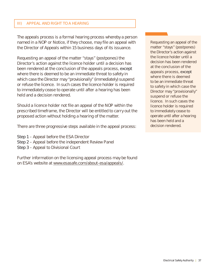#### III) APPEAL AND RIGHT TO A HEARING

The appeals process is a formal hearing process whereby a person named in a NOP or Notice, if they choose, may file an appeal with the Director of Appeals within 15 business days of its issuance.

Requesting an appeal of the matter "stays" (postpones) the Director's action against the licence holder until a decision has been rendered at the conclusion of the appeals process, except where there is deemed to be an immediate threat to safety in which case the Director may "provisionally" (immediately) suspend or refuse the licence. In such cases the licence holder is required to immediately cease to operate until after a hearing has been held and a decision rendered.

Should a licence holder not file an appeal of the NOP within the prescribed timeframe, the Director will be entitled to carry out the proposed action without holding a hearing of the matter.

There are three progressive steps available in the appeal process:

- Step 1 Appeal before the ESA Director
- Step 2 Appeal before the independent Review Panel
- Step 3 Appeal to Divisional Court

Further information on the licensing appeal process may be found on ESA's website at www.esasafe.com/about-esa/appeals/.

Requesting an appeal of the matter "stays" (postpones) the Director's action against the licence holder until a decision has been rendered at the conclusion of the appeals process, except where there is deemed to be an immediate threat to safety in which case the Director may "provisionally" suspend or refuse the licence. In such cases the licence holder is required to immediately cease to operate until after a hearing has been held and a decision rendered.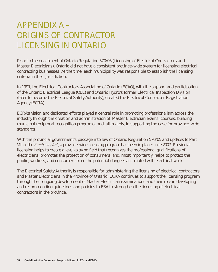# **APPENDIX A – ORIGINS OF CONTRACTOR LICENSING IN ONTARIO**

Prior to the enactment of Ontario Regulation 570/05 (Licensing of Electrical Contractors and Master Electricians), Ontario did not have a consistent province-wide system for licensing electrical contracting businesses. At the time, each municipality was responsible to establish the licensing criteria in their jurisdiction.

In 1991, the Electrical Contractors Association of Ontario (ECAO), with the support and participation of the Ontario Electrical League (OEL) and Ontario Hydro's former Electrical Inspection Division (later to become the Electrical Safety Authority), created the Electrical Contractor Registration Agency (ECRA).

ECRA's vision and dedicated efforts played a central role in promoting professionalism across the industry through the creation and administration of Master Electrician exams, courses, building municipal reciprocal recognition programs, and, ultimately, in supporting the case for province-wide standards.

With the provincial government's passage into law of Ontario Regulation 570/05 and updates to Part VIII of the *Electricity Act*, a province-wide licensing program has been in place since 2007. Provincial licensing helps to create a level-playing field that recognizes the professional qualifications of electricians, promotes the protection of consumers, and, most importantly, helps to protect the public, workers, and consumers from the potential dangers associated with electrical work.

The Electrical Safety Authority is responsible for administering the licensing of electrical contractors and Master Electricians in the Province of Ontario. ECRA continues to support the licensing program through their ongoing development of Master Electrician examinations and their role in developing and recommending guidelines and policies to ESA to strengthen the licensing of electrical contractors in the province.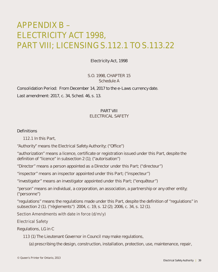# **APPENDIX B – ELECTRICITY ACT 1998, PART VIII; LICENSING S.112.1 TO S.113.22**

## Electricity Act, 1998

S.O. 1998, CHAPTER 15 Schedule A

Consolidation Period: From December 14, 2017 to the e-Laws currency date.

Last amendment: 2017, c. 34, Sched. 46, s. 13.

#### PART VIII

ELECTRICAL SAFETY

#### **Definitions**

**112.1** In this Part,

"Authority" means the Electrical Safety Authority; ("Office")

"authorization" means a licence, certificate or registration issued under this Part, despite the definition of "licence" in subsection 2 (1); ("autorisation")

"Director" means a person appointed as a Director under this Part; ("directeur")

"inspector" means an inspector appointed under this Part; ("inspecteur")

"investigator" means an investigator appointed under this Part; ("enquêteur")

"person" means an individual, a corporation, an association, a partnership or any other entity; ("personne")

"regulations" means the regulations made under this Part, despite the definition of "regulations" in subsection 2 (1). ("règlements") 2004, c. 19, s. 12 (2); 2006, c. 34, s. 12 (1).

#### **Section Amendments with date in force (d/m/y)**

#### **Electrical Safety**

Regulations, LG in C

**113** (1) The Lieutenant Governor in Council may make regulations,

(a) prescribing the design, construction, installation, protection, use, maintenance, repair,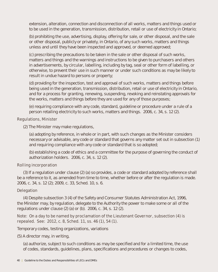extension, alteration, connection and disconnection of all works, matters and things used or to be used in the generation, transmission, distribution, retail or use of electricity in Ontario;

 (b) prohibiting the use, advertising, display, offering for sale, or other disposal, and the sale or other disposal, publicly or privately, in Ontario, of any such works, matters and things unless and until they have been inspected and approved, or deemed approved;

 (c) prescribing the precautions to be taken in the sale or other disposal of such works, matters and things and the warnings and instructions to be given to purchasers and others in advertisements, by circular, labelling, including by tag, seal or other form of labelling, or otherwise, to prevent their use in such manner or under such conditions as may be likely to result in undue hazard to persons or property;

 (d) providing for the inspection, test and approval of such works, matters and things before being used in the generation, transmission, distribution, retail or use of electricity in Ontario, and for a process for granting, renewing, suspending, revoking and reinstating approvals for the works, matters and things before they are used for any of those purposes;

 (e) requiring compliance with any code, standard, guideline or procedure under a rule of a person retailing electricity to such works, matters and things. 2006, c. 34, s. 12 (2).

## **Regulations, Minister**

(2) The Minister may make regulations,

 (a) adopting by reference, in whole or in part, with such changes as the Minister considers necessary or advisable, any code or standard that governs any matter set out in subsection (1) and requiring compliance with any code or standard that is so adopted;

 (b) establishing a code of ethics and a committee for the purpose of governing the conduct of authorization holders. 2006, c. 34, s. 12 (2).

## **Rolling incorporation**

(3) If a regulation under clause (2) (a) so provides, a code or standard adopted by reference shall be a reference to it, as amended from time to time, whether before or after the regulation is made. 2006, c. 34, s. 12 (2); 2009, c. 33, Sched. 10, s. 6.

## **Delegation**

(4) Despite subsection 3 (4) of the Safety and Consumer Statutes Administration Act, 1996, the Minister may, by regulation, delegate to the Authority the power to make some or all of the regulations under clause (2) (a) or (b). 2006, c. 34, s. 12 (2).

## **Note: On a day to be named by proclamation of the Lieutenant Governor, subsection (4) is repealed. See: 2012, c. 8, Sched. 11, ss. 46 (1), 54 (1).**

Temporary codes, testing organizations, variations

(5) A director may, in writing,

 (a) authorize, subject to such conditions as may be specified and for a limited time, the use of codes, standards, guidelines, plans, specifications and procedures or changes to codes,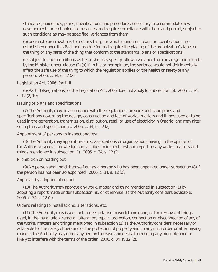standards, guidelines, plans, specifications and procedures necessary to accommodate new developments or technological advances and require compliance with them and permit, subject to such conditions as may be specified, variances from them;

 (b) designate organizations to test any thing for which standards, plans or specifications are established under this Part and provide for and require the placing of the organization's label on the thing or any parts of the thing that conform to the standards, plans or specifications;

 (c) subject to such conditions as he or she may specify, allow a variance from any regulation made by the Minister under clause (2) (a) if, in his or her opinion, the variance would not detrimentally affect the safe use of the thing to which the regulation applies or the health or safety of any person. 2006, c. 34, s. 12 (2).

## **Legislation Act, 2006, Part III**

(6) Part III (Regulations) of the Legislation Act, 2006 does not apply to subsection (5). 2006, c. 34, s. 12 (2, 19).

#### **Issuing of plans and specifications**

(7) The Authority may, in accordance with the regulations, prepare and issue plans and specifications governing the design, construction and test of works, matters and things used or to be used in the generation, transmission, distribution, retail or use of electricity in Ontario, and may alter such plans and specifications. 2006, c. 34, s. 12 (2).

#### **Appointment of persons to inspect and test**

(8) The Authority may appoint persons, associations or organizations having, in the opinion of the Authority, special knowledge and facilities to inspect, test and report on any works, matters and things mentioned in subsection (1). 2006, c. 34, s. 12 (2).

## **Prohibition on holding out**

(9) No person shall hold themself out as a person who has been appointed under subsection (8) if the person has not been so appointed. 2006, c. 34, s. 12 (2).

## **Approval by adoption of report**

(10) The Authority may approve any work, matter and thing mentioned in subsection (1) by adopting a report made under subsection (8), or otherwise, as the Authority considers advisable. 2006, c. 34, s. 12 (2).

## **Orders relating to installations, alterations, etc.**

(11) The Authority may issue such orders relating to work to be done, or the removal of things used, in the installation, removal, alteration, repair, protection, connection or disconnection of any of the works, matters and things mentioned in subsection (1) as the Authority considers necessary or advisable for the safety of persons or the protection of property and, in any such order or after having made it, the Authority may order any person to cease and desist from doing anything intended or likely to interfere with the terms of the order. 2006, c. 34, s. 12 (2).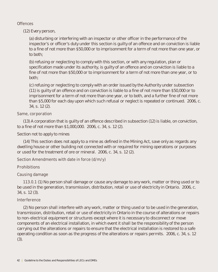## **Offences**

(12) Every person,

 (a) disturbing or interfering with an inspector or other officer in the performance of the inspector's or officer's duty under this section is guilty of an offence and on conviction is liable to a fine of not more than \$50,000 or to imprisonment for a term of not more than one year, or to both;

 (b) refusing or neglecting to comply with this section, or with any regulation, plan or specification made under its authority, is guilty of an offence and on conviction is liable to a fine of not more than \$50,000 or to imprisonment for a term of not more than one year, or to both;

 (c) refusing or neglecting to comply with an order issued by the Authority under subsection (11) is guilty of an offence and on conviction is liable to a fine of not more than \$50,000 or to imprisonment for a term of not more than one year, or to both, and a further fine of not more than \$5,000 for each day upon which such refusal or neglect is repeated or continued. 2006, c. 34, s. 12 (2).

## **Same, corporation**

(13) A corporation that is guilty of an offence described in subsection (12) is liable, on conviction, to a fine of not more than \$1,000,000. 2006, c. 34, s. 12 (2).

Section not to apply to mines

(14) This section does not apply to a mine as defined in the Mining Act, save only as regards any dwelling house or other building not connected with or required for mining operations or purposes or used for the treatment of ore or mineral. 2006, c. 34, s. 12 (2).

## **Section Amendments with date in force (d/m/y)**

#### **Prohibitions**

## **Causing damage**

**113.0.1** (1) No person shall damage or cause any damage to any work, matter or thing used or to be used in the generation, transmission, distribution, retail or use of electricity in Ontario. 2006, c. 34, s. 12 (3).

## **Interference**

(2) No person shall interfere with any work, matter or thing used or to be used in the generation, transmission, distribution, retail or use of electricity in Ontario in the course of alterations or repairs to non-electrical equipment or structures except where it is necessary to disconnect or move components of an electrical installation, in which event it shall be the responsibility of the person carrying out the alterations or repairs to ensure that the electrical installation is restored to a safe operating condition as soon as the progress of the alterations or repairs permits. 2006, c. 34, s. 12 (3).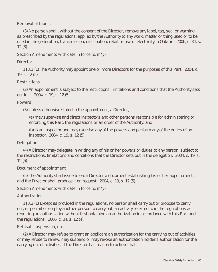## **Removal of labels**

(3) No person shall, without the consent of the Director, remove any label, tag, seal or warning, as prescribed by the regulations, applied by the Authority to any work, matter or thing used or to be used in the generation, transmission, distribution, retail or use of electricity in Ontario. 2006, c. 34, s. 12 (3).

## **Section Amendments with date in force (d/m/y)**

## **Director**

**113.1** (1) The Authority may appoint one or more Directors for the purposes of this Part. 2004, c. 19, s. 12 (5).

## **Restrictions**

(2) An appointment is subject to the restrictions, limitations and conditions that the Authority sets out in it. 2004, c. 19, s. 12 (5).

## **Powers**

(3) Unless otherwise stated in the appointment, a Director,

 (a) may supervise and direct inspectors and other persons responsible for administering or enforcing this Part, the regulations or an order of the Authority; and

 (b) is an inspector and may exercise any of the powers and perform any of the duties of an inspector. 2004, c. 19, s. 12 (5).

## **Delegation**

(4) A Director may delegate in writing any of his or her powers or duties to any person, subject to the restrictions, limitations and conditions that the Director sets out in the delegation. 2004, c. 19, s. 12 (5).

## **Document of appointment**

(5) The Authority shall issue to each Director a document establishing his or her appointment, and the Director shall produce it on request. 2004, c. 19, s. 12 (5).

## **Section Amendments with date in force (d/m/y)**

## **Authorization**

**113.2** (1) Except as provided in the regulations, no person shall carry out or propose to carry out, or permit or employ another person to carry out, an activity referred to in the regulations as requiring an authorization without first obtaining an authorization in accordance with this Part and the regulations. 2006, c. 34, s. 12 (4).

## **Refusal, suspension, etc.**

(2) A Director may refuse to grant an applicant an authorization for the carrying out of activities or may refuse to renew, may suspend or may revoke an authorization holder's authorization for the carrying out of activities, if the Director has reason to believe that,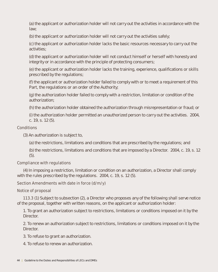(a) the applicant or authorization holder will not carry out the activities in accordance with the law;

(b) the applicant or authorization holder will not carry out the activities safely;

 (c) the applicant or authorization holder lacks the basic resources necessary to carry out the activities;

 (d) the applicant or authorization holder will not conduct himself or herself with honesty and integrity or in accordance with the principle of protecting consumers;

 (e) the applicant or authorization holder lacks the training, experience, qualifications or skills prescribed by the regulations;

 (f) the applicant or authorization holder failed to comply with or to meet a requirement of this Part, the regulations or an order of the Authority;

 (g) the authorization holder failed to comply with a restriction, limitation or condition of the authorization;

(h) the authorization holder obtained the authorization through misrepresentation or fraud; or

 (i) the authorization holder permitted an unauthorized person to carry out the activities. 2004, c. 19, s. 12 (5).

## **Conditions**

(3) An authorization is subject to,

(a) the restrictions, limitations and conditions that are prescribed by the regulations; and

 (b) the restrictions, limitations and conditions that are imposed by a Director. 2004, c. 19, s. 12 (5).

## **Compliance with regulations**

(4) In imposing a restriction, limitation or condition on an authorization, a Director shall comply with the rules prescribed by the regulations. 2004, c. 19, s. 12 (5).

## **Section Amendments with date in force (d/m/y)**

## **Notice of proposal**

**113.3** (1) Subject to subsection (2), a Director who proposes any of the following shall serve notice of the proposal, together with written reasons, on the applicant or authorization holder:

 1. To grant an authorization subject to restrictions, limitations or conditions imposed on it by the Director.

 2. To renew an authorization subject to restrictions, limitations or conditions imposed on it by the Director.

3. To refuse to grant an authorization.

4. To refuse to renew an authorization.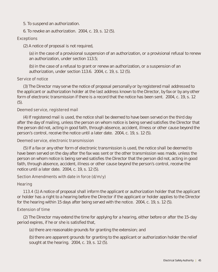- 5. To suspend an authorization.
- 6. To revoke an authorization. 2004, c. 19, s. 12 (5).

## **Exceptions**

(2) A notice of proposal is not required,

 (a) in the case of a provisional suspension of an authorization, or a provisional refusal to renew an authorization, under section 113.5;

 (b) in the case of a refusal to grant or renew an authorization, or a suspension of an authorization, under section 113.6. 2004, c. 19, s. 12 (5).

## **Service of notice**

(3) The Director may serve the notice of proposal personally or by registered mail addressed to the applicant or authorization holder at the last address known to the Director, by fax or by any other form of electronic transmission if there is a record that the notice has been sent. 2004, c. 19, s. 12 (5).

## **Deemed service, registered mail**

(4) If registered mail is used, the notice shall be deemed to have been served on the third day after the day of mailing, unless the person on whom notice is being served satisfies the Director that the person did not, acting in good faith, through absence, accident, illness or other cause beyond the person's control, receive the notice until a later date. 2004, c. 19, s. 12 (5).

## **Deemed service, electronic transmission**

(5) If a fax or any other form of electronic transmission is used, the notice shall be deemed to have been served on the day after the fax was sent or the other transmission was made, unless the person on whom notice is being served satisfies the Director that the person did not, acting in good faith, through absence, accident, illness or other cause beyond the person's control, receive the notice until a later date. 2004, c. 19, s. 12 (5).

## **Section Amendments with date in force (d/m/y)**

## **Hearing**

**113.4** (1) A notice of proposal shall inform the applicant or authorization holder that the applicant or holder has a right to a hearing before the Director if the applicant or holder applies to the Director for the hearing within 15 days after being served with the notice. 2004, c. 19, s. 12 (5).

## **Extension of time**

(2) The Director may extend the time for applying for a hearing, either before or after the 15-day period expires, if he or she is satisfied that,

(a) there are reasonable grounds for granting the extension; and

 (b) there are apparent grounds for granting to the applicant or authorization holder the relief sought at the hearing. 2004, c. 19, s. 12 (5).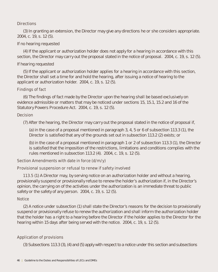## **Directions**

(3) In granting an extension, the Director may give any directions he or she considers appropriate. 2004, c. 19, s. 12 (5).

## If no hearing requested

(4) If the applicant or authorization holder does not apply for a hearing in accordance with this section, the Director may carry out the proposal stated in the notice of proposal. 2004, c. 19, s. 12 (5).

## If hearing requested

(5) If the applicant or authorization holder applies for a hearing in accordance with this section, the Director shall set a time for and hold the hearing, after issuing a notice of hearing to the applicant or authorization holder. 2004, c. 19, s. 12 (5).

## **Findings of fact**

(6) The findings of fact made by the Director upon the hearing shall be based exclusively on evidence admissible or matters that may be noticed under sections 15, 15.1, 15.2 and 16 of the Statutory Powers Procedure Act. 2004, c. 19, s. 12 (5).

## **Decision**

(7) After the hearing, the Director may carry out the proposal stated in the notice of proposal if,

 (a) in the case of a proposal mentioned in paragraph 3, 4, 5 or 6 of subsection 113.3 (1), the Director is satisfied that any of the grounds set out in subsection 113.2 (2) exists; or

 (b) in the case of a proposal mentioned in paragraph 1 or 2 of subsection 113.3 (1), the Director is satisfied that the imposition of the restrictions, limitations and conditions complies with the rules mentioned in subsection 113.2 (4). 2004, c. 19, s. 12 (5).

## **Section Amendments with date in force (d/m/y)**

## **Provisional suspension or refusal to renew if safety involved**

**113.5** (1) A Director may, by serving notice on an authorization holder and without a hearing, provisionally suspend or provisionally refuse to renew the holder's authorization if, in the Director's opinion, the carrying on of the activities under the authorization is an immediate threat to public safety or the safety of any person. 2004, c. 19, s. 12 (5).

## **Notice**

(2) A notice under subsection (1) shall state the Director's reasons for the decision to provisionally suspend or provisionally refuse to renew the authorization and shall inform the authorization holder that the holder has a right to a hearing before the Director if the holder applies to the Director for the hearing within 15 days after being served with the notice. 2004, c. 19, s. 12 (5).

## **Application of provisions**

(3) Subsections 113.3 (3), (4) and (5) apply with respect to a notice under this section and subsections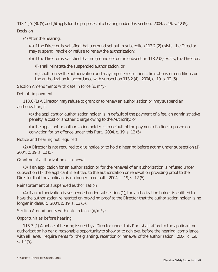113.4 (2), (3), (5) and (6) apply for the purposes of a hearing under this section. 2004, c. 19, s. 12 (5).

## **Decision**

(4) After the hearing,

 (a) if the Director is satisfied that a ground set out in subsection 113.2 (2) exists, the Director may suspend, revoke or refuse to renew the authorization;

(b) if the Director is satisfied that no ground set out in subsection 113.2 (2) exists, the Director,

(i) shall reinstate the suspended authorization, or

 (ii) shall renew the authorization and may impose restrictions, limitations or conditions on the authorization in accordance with subsection 113.2 (4). 2004, c. 19, s. 12 (5).

## **Section Amendments with date in force (d/m/y)**

## **Default in payment**

**113.6** (1) A Director may refuse to grant or to renew an authorization or may suspend an authorization, if,

 (a) the applicant or authorization holder is in default of the payment of a fee, an administrative penalty, a cost or another charge owing to the Authority; or

 (b) the applicant or authorization holder is in default of the payment of a fine imposed on conviction for an offence under this Part. 2004, c. 19, s. 12 (5).

## **Notice and hearing not required**

(2) A Director is not required to give notice or to hold a hearing before acting under subsection (1). 2004, c. 19, s. 12 (5).

## **Granting of authorization or renewal**

(3) If an application for an authorization or for the renewal of an authorization is refused under subsection (1), the applicant is entitled to the authorization or renewal on providing proof to the Director that the applicant is no longer in default. 2004, c. 19, s. 12 (5).

## **Reinstatement of suspended authorization**

(4) If an authorization is suspended under subsection (1), the authorization holder is entitled to have the authorization reinstated on providing proof to the Director that the authorization holder is no longer in default. 2004, c. 19, s. 12 (5).

## **Section Amendments with date in force (d/m/y)**

## **Opportunities before hearing**

**113.7** (1) A notice of hearing issued by a Director under this Part shall afford to the applicant or authorization holder a reasonable opportunity to show or to achieve, before the hearing, compliance with all lawful requirements for the granting, retention or renewal of the authorization. 2004, c. 19, s. 12 (5).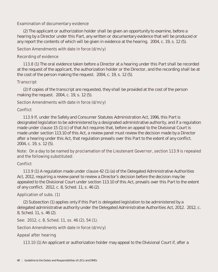## **Examination of documentary evidence**

(2) The applicant or authorization holder shall be given an opportunity to examine, before a hearing by a Director under this Part, any written or documentary evidence that will be produced or any report the contents of which will be given in evidence at the hearing. 2004, c. 19, s. 12 (5).

## **Section Amendments with date in force (d/m/y)**

## **Recording of evidence**

**113.8** (1) The oral evidence taken before a Director at a hearing under this Part shall be recorded at the request of the applicant, the authorization holder or the Director, and the recording shall be at the cost of the person making the request. 2004, c. 19, s. 12 (5).

## **Transcript**

(2) If copies of the transcript are requested, they shall be provided at the cost of the person making the request. 2004, c. 19, s. 12 (5).

## **Section Amendments with date in force (d/m/y)**

## **Conflict**

**113.9** If, under the Safety and Consumer Statutes Administration Act, 1996, this Part is designated legislation to be administered by a designated administrative authority, and if a regulation made under clause 15 (1) (c) of that Act requires that, before an appeal to the Divisional Court is made under section 113.10 of this Act, a review panel must review the decision made by a Director after a hearing under this Act, that regulation prevails over this Part to the extent of any conflict. 2004, c. 19, s. 12 (5).

## **Note: On a day to be named by proclamation of the Lieutenant Governor, section 113.9 is repealed and the following substituted:**

## **Conflict**

**113.9** (1) A regulation made under clause 42 (1) (a) of the Delegated Administrative Authorities Act, 2012, requiring a review panel to review a Director's decision before the decision may be appealed to the Divisional Court under section 113.10 of this Act, prevails over this Part to the extent of any conflict. 2012, c. 8, Sched. 11, s. 46 (2).

## **Application of subs. (1)**

(2) Subsection (1) applies only if this Part is delegated legislation to be administered by a delegated administrative authority under the Delegated Administrative Authorities Act, 2012. 2012, c. 8, Sched. 11, s. 46 (2).

## **See: 2012, c. 8, Sched. 11, ss. 46 (2), 54 (1).**

## **Section Amendments with date in force (d/m/y)**

## **Appeal after hearing**

**113.10** (1) An applicant or authorization holder may appeal to the Divisional Court if, after a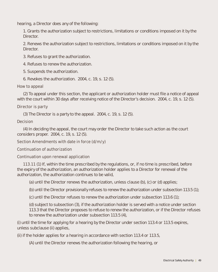hearing, a Director does any of the following:

1. Grants the authorization subject to restrictions, limitations or conditions imposed on it by the Director.

2. Renews the authorization subject to restrictions, limitations or conditions imposed on it by the Director.

- 3. Refuses to grant the authorization.
- 4. Refuses to renew the authorization.
- 5. Suspends the authorization.
- 6. Revokes the authorization. 2004, c. 19, s. 12 (5).

#### **How to appeal**

(2) To appeal under this section, the applicant or authorization holder must file a notice of appeal with the court within 30 days after receiving notice of the Director's decision. 2004, c. 19, s. 12 (5).

## **Director is party**

(3) The Director is a party to the appeal. 2004, c. 19, s. 12 (5).

## **Decision**

(4) In deciding the appeal, the court may order the Director to take such action as the court considers proper. 2004, c. 19, s. 12 (5).

## **Section Amendments with date in force (d/m/y)**

## **Continuation of authorization**

## **Continuation upon renewal application**

**113.11** (1) If, within the time prescribed by the regulations, or, if no time is prescribed, before the expiry of the authorization, an authorization holder applies to a Director for renewal of the authorization, the authorization continues to be valid,

(a) until the Director renews the authorization, unless clause (b), (c) or (d) applies;

(b) until the Director provisionally refuses to renew the authorization under subsection 113.5 (1);

(c) until the Director refuses to renew the authorization under subsection 113.6 (1);

 (d) subject to subsection (3), if the authorization holder is served with a notice under section 113.3 that the Director proposes to refuse to renew the authorization, or if the Director refuses to renew the authorization under subsection 113.5 (4),

(i) until the time for applying for a hearing by the Director under section 113.4 or 113.5 expires, unless subclause (ii) applies,

(ii) if the holder applies for a hearing in accordance with section 113.4 or 113.5,

(A) until the Director renews the authorization following the hearing, or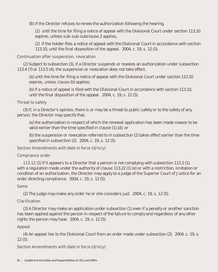(B) if the Director refuses to renew the authorization following the hearing,

 (1) until the time for filing a notice of appeal with the Divisional Court under section 113.10 expires, unless sub-sub-subclause 2 applies,

 (2) if the holder files a notice of appeal with the Divisional Court in accordance with section 113.10, until the final disposition of the appeal. 2004, c. 19, s. 12 (5).

## **Continuation after suspension, revocation**

(2) Subject to subsection (3), if a Director suspends or revokes an authorization under subsection 113.4 (7) or 113.5 (4), the suspension or revocation does not take effect,

 (a) until the time for filing a notice of appeal with the Divisional Court under section 113.10 expires, unless clause (b) applies;

 (b) if a notice of appeal is filed with the Divisional Court in accordance with section 113.10, until the final disposition of the appeal. 2004, c. 19, s. 12 (5).

## **Threat to safety**

(3) If, in a Director's opinion, there is or may be a threat to public safety or to the safety of any person, the Director may specify that,

 (a) the authorization in respect of which the renewal application has been made ceases to be valid earlier than the time specified in clause (1) (d); or

 (b) the suspension or revocation referred to in subsection (2) takes effect earlier than the time specified in subsection (2). 2004, c. 19, s. 12 (5).

## **Section Amendments with date in force (d/m/y)**

## **Compliance order**

**113.12** (1) If it appears to a Director that a person is not complying with subsection 113.2 (1), with a regulation made under the authority of clause 113.22 (1) (e) or with a restriction, limitation or condition of an authorization, the Director may apply to a judge of the Superior Court of Justice for an order directing compliance. 2004, c. 19, s. 12 (5).

## **Same**

(2) The judge may make any order he or she considers just. 2004, c. 19, s. 12 (5).

## **Clarification**

(3) A Director may make an application under subsection (1) even if a penalty or another sanction has been applied against the person in respect of the failure to comply and regardless of any other rights the person may have. 2004, c. 19, s. 12 (5).

## **Appeal**

(4) An appeal lies to the Divisional Court from an order made under subsection (2). 2004, c. 19, s. 12 (5).

## **Section Amendments with date in force (d/m/y)**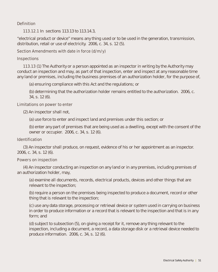## **Definition**

**113.12.1** In sections 113.13 to 113.14.3,

"electrical product or device" means any thing used or to be used in the generation, transmission, distribution, retail or use of electricity. 2006, c. 34, s. 12 (5).

## **Section Amendments with date in force (d/m/y)**

#### **Inspections**

**113.13** (1) The Authority or a person appointed as an inspector in writing by the Authority may conduct an inspection and may, as part of that inspection, enter and inspect at any reasonable time any land or premises, including the business premises of an authorization holder, for the purpose of,

(a) ensuring compliance with this Act and the regulations; or

 (b) determining that the authorization holder remains entitled to the authorization. 2006, c. 34, s. 12 (6).

#### **Limitations on power to enter**

(2) An inspector shall not,

(a) use force to enter and inspect land and premises under this section; or

 (b) enter any part of premises that are being used as a dwelling, except with the consent of the owner or occupier. 2006, c. 34, s. 12 (6).

#### **Identification**

(3) An inspector shall produce, on request, evidence of his or her appointment as an inspector. 2006, c. 34, s. 12 (6).

#### **Powers on inspection**

(4) An inspector conducting an inspection on any land or in any premises, including premises of an authorization holder, may,

 (a) examine all documents, records, electrical products, devices and other things that are relevant to the inspection;

 (b) require a person on the premises being inspected to produce a document, record or other thing that is relevant to the inspection;

 (c) use any data storage, processing or retrieval device or system used in carrying on business in order to produce information or a record that is relevant to the inspection and that is in any form; and

 (d) subject to subsection (5), on giving a receipt for it, remove any thing relevant to the inspection, including a document, a record, a data storage disk or a retrieval device needed to produce information. 2006, c. 34, s. 12 (6).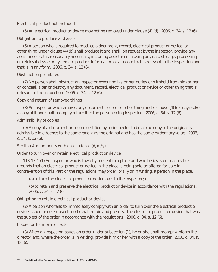## **Electrical product not included**

(5) An electrical product or device may not be removed under clause (4) (d). 2006, c. 34, s. 12 (6).

## **Obligation to produce and assist**

(6) A person who is required to produce a document, record, electrical product or device, or other thing under clause (4) (b) shall produce it and shall, on request by the inspector, provide any assistance that is reasonably necessary, including assistance in using any data storage, processing or retrieval device or system, to produce information or a record that is relevant to the inspection and that is in any form. 2006, c. 34, s. 12 (6).

## **Obstruction prohibited**

(7) No person shall obstruct an inspector executing his or her duties or withhold from him or her or conceal, alter or destroy any document, record, electrical product or device or other thing that is relevant to the inspection. 2006, c. 34, s. 12 (6).

## **Copy and return of removed things**

(8) An inspector who removes any document, record or other thing under clause (4) (d) may make a copy of it and shall promptly return it to the person being inspected. 2006, c. 34, s. 12 (6).

## **Admissibility of copies**

(9) A copy of a document or record certified by an inspector to be a true copy of the original is admissible in evidence to the same extent as the original and has the same evidentiary value. 2006, c. 34, s. 12 (6).

## **Section Amendments with date in force (d/m/y)**

## **Order to turn over or retain electrical product or device**

**113.13.1** (1) An inspector who is lawfully present in a place and who believes on reasonable grounds that an electrical product or device in the place is being sold or offered for sale in contravention of this Part or the regulations may order, orally or in writing, a person in the place,

(a) to turn the electrical product or device over to the inspector; or

 (b) to retain and preserve the electrical product or device in accordance with the regulations. 2006, c. 34, s. 12 (6).

## **Obligation to retain electrical product or device**

(2) A person who fails to immediately comply with an order to turn over the electrical product or device issued under subsection (1) shall retain and preserve the electrical product or device that was the subject of the order in accordance with the regulations. 2006, c. 34, s. 12 (6).

## **Inspector to inform director**

(3) When an inspector issues an order under subsection (1), he or she shall promptly inform the director and, where the order is in writing, provide him or her with a copy of the order. 2006, c. 34, s. 12 (6).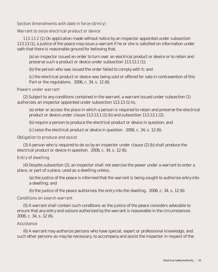## **Section Amendments with date in force (d/m/y)**

#### **Warrant to seize electrical product or device**

**113.13.2** (1) On application made without notice by an inspector appointed under subsection 113.13 (1), a justice of the peace may issue a warrant if he or she is satisfied on information under oath that there is reasonable ground for believing that,

 (a) an inspector issued an order to turn over an electrical product or device or to retain and preserve such a product or device under subsection 113.13.1 (1);

(b) the person who was issued the order failed to comply with it; and

 (c) the electrical product or device was being sold or offered for sale in contravention of this Part or the regulations. 2006, c. 34, s. 12 (6).

#### **Powers under warrant**

(2) Subject to any conditions contained in the warrant, a warrant issued under subsection (1) authorizes an inspector appointed under subsection 113.13 (1) to,

 (a) enter or access the place in which a person is required to retain and preserve the electrical product or device under clause 113.13.1 (1) (b) and subsection 113.13.1 (2);

(b) require a person to produce the electrical product or device in question; and

(c) seize the electrical product or device in question. 2006, c. 34, s. 12 (6).

#### **Obligation to produce and assist**

(3) A person who is required to do so by an inspector under clause (2) (b) shall produce the electrical product or device in question. 2006, c. 34, s. 12 (6).

## **Entry of dwelling**

(4) Despite subsection (2), an inspector shall not exercise the power under a warrant to enter a place, or part of a place, used as a dwelling unless,

 (a) the justice of the peace is informed that the warrant is being sought to authorize entry into a dwelling; and

(b) the justice of the peace authorizes the entry into the dwelling. 2006, c. 34, s. 12 (6).

#### **Conditions on search warrant**

(5) A warrant shall contain such conditions as the justice of the peace considers advisable to ensure that any entry and seizure authorized by the warrant is reasonable in the circumstances. 2006, c. 34, s. 12 (6).

#### **Assistance**

(6) A warrant may authorize persons who have special, expert or professional knowledge, and such other persons as may be necessary, to accompany and assist the inspector in respect of the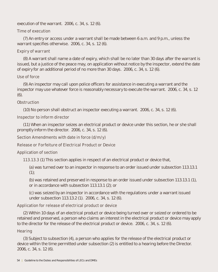execution of the warrant. 2006, c. 34, s. 12 (6).

## **Time of execution**

(7) An entry or access under a warrant shall be made between 6 a.m. and 9 p.m., unless the warrant specifies otherwise. 2006, c. 34, s. 12 (6).

## **Expiry of warrant**

(8) A warrant shall name a date of expiry, which shall be no later than 30 days after the warrant is issued, but a justice of the peace may, on application without notice by the inspector, extend the date of expiry for an additional period of no more than 30 days. 2006, c. 34, s. 12 (6).

## **Use of force**

(9) An inspector may call upon police officers for assistance in executing a warrant and the inspector may use whatever force is reasonably necessary to execute the warrant. 2006, c. 34, s. 12 (6).

## **Obstruction**

(10) No person shall obstruct an inspector executing a warrant. 2006, c. 34, s. 12 (6).

## **Inspector to inform director**

(11) When an inspector seizes an electrical product or device under this section, he or she shall promptly inform the director. 2006, c. 34, s. 12 (6).

## **Section Amendments with date in force (d/m/y)**

## **Release or Forfeiture of Electrical Product or Device**

## **Application of section**

**113.13.3** (1) This section applies in respect of an electrical product or device that,

 (a) was turned over to an inspector in response to an order issued under subsection 113.13.1  $(1)$ ;

 (b) was retained and preserved in response to an order issued under subsection 113.13.1 (1), or in accordance with subsection 113.13.1 (2); or

 (c) was seized by an inspector in accordance with the regulations under a warrant issued under subsection 113.13.2 (1). 2006, c. 34, s. 12 (6).

## **Application for release of electrical product or device**

(2) Within 10 days of an electrical product or device being turned over or seized or ordered to be retained and preserved, a person who claims an interest in the electrical product or device may apply to the director for the release of the electrical product or device. 2006, c. 34, s. 12 (6).

## **Hearing**

(3) Subject to subsection (4), a person who applies for the release of the electrical product or device within the time permitted under subsection (2) is entitled to a hearing before the Director. 2006, c. 34, s. 12 (6).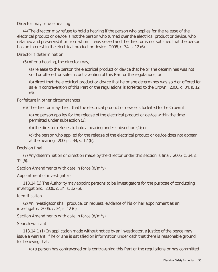## **Director may refuse hearing**

(4) The director may refuse to hold a hearing if the person who applies for the release of the electrical product or device is not the person who turned over the electrical product or device, who retained and preserved it or from whom it was seized and the director is not satisfied that the person has an interest in the electrical product or device. 2006, c. 34, s. 12 (6).

#### **Director's determination**

(5) After a hearing, the director may,

 (a) release to the person the electrical product or device that he or she determines was not sold or offered for sale in contravention of this Part or the regulations; or

 (b) direct that the electrical product or device that he or she determines was sold or offered for sale in contravention of this Part or the regulations is forfeited to the Crown. 2006, c. 34, s. 12 (6).

#### **Forfeiture in other circumstances**

(6) The director may direct that the electrical product or device is forfeited to the Crown if,

 (a) no person applies for the release of the electrical product or device within the time permitted under subsection (2);

(b) the director refuses to hold a hearing under subsection (4); or

 (c) the person who applied for the release of the electrical product or device does not appear at the hearing. 2006, c. 34, s. 12 (6).

## **Decision final**

(7) Any determination or direction made by the director under this section is final. 2006, c. 34, s.  $12(6)$ .

## **Section Amendments with date in force (d/m/y)**

## **Appointment of investigators**

**113.14** (1) The Authority may appoint persons to be investigators for the purpose of conducting investigations. 2006, c. 34, s. 12 (6).

## **Identification**

(2) An investigator shall produce, on request, evidence of his or her appointment as an investigator. 2006, c. 34, s. 12 (6).

## **Section Amendments with date in force (d/m/y)**

## **Search warrant**

**113.14.1** (1) On application made without notice by an investigator, a justice of the peace may issue a warrant, if he or she is satisfied on information under oath that there is reasonable ground for believing that,

(a) a person has contravened or is contravening this Part or the regulations or has committed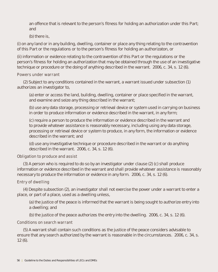an offence that is relevant to the person's fitness for holding an authorization under this Part; and

(b) there is,

(i) on any land or in any building, dwelling, container or place any thing relating to the contravention of this Part or the regulations or to the person's fitness for holding an authorizaton, or

(ii) information or evidence relating to the contravention of this Part or the regulations or the person's fitness for holding an authorization that may be obtained through the use of an investigative technique or procedure or the doing of anything described in the warrant. 2006, c. 34, s. 12 (6).

#### **Powers under warrant**

(2) Subject to any conditions contained in the warrant, a warrant issued under subsection (1) authorizes an investigator to,

 (a) enter or access the land, building, dwelling, container or place specified in the warrant, and examine and seize any thing described in the warrant;

 (b) use any data storage, processing or retrieval device or system used in carrying on business in order to produce information or evidence described in the warrant, in any form;

 (c) require a person to produce the information or evidence described in the warrant and to provide whatever assistance is reasonably necessary, including using any data storage, processing or retrieval device or system to produce, in any form, the information or evidence described in the warrant; and

 (d) use any investigative technique or procedure described in the warrant or do anything described in the warrant. 2006, c. 34, s. 12 (6).

## **Obligation to produce and assist**

(3) A person who is required to do so by an investigator under clause (2) (c) shall produce information or evidence described in the warrant and shall provide whatever assistance is reasonably necessary to produce the information or evidence in any form. 2006, c. 34, s. 12 (6).

## **Entry of dwelling**

(4) Despite subsection (2), an investigator shall not exercise the power under a warrant to enter a place, or part of a place, used as a dwelling unless,

 (a) the justice of the peace is informed that the warrant is being sought to authorize entry into a dwelling; and

(b) the justice of the peace authorizes the entry into the dwelling. 2006, c. 34, s. 12 (6).

## **Conditions on search warrant**

(5) A warrant shall contain such conditions as the justice of the peace considers advisable to ensure that any search authorized by the warrant is reasonable in the circumstances. 2006, c. 34, s.  $12(6)$ .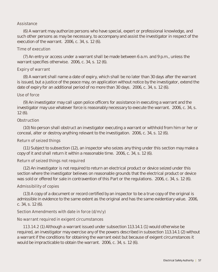## **Assistance**

(6) A warrant may authorize persons who have special, expert or professional knowledge, and such other persons as may be necessary, to accompany and assist the investigator in respect of the execution of the warrant. 2006, c. 34, s. 12 (6).

## **Time of execution**

(7) An entry or access under a warrant shall be made between 6 a.m. and 9 p.m., unless the warrant specifies otherwise. 2006, c. 34, s. 12 (6).

## **Expiry of warrant**

(8) A warrant shall name a date of expiry, which shall be no later than 30 days after the warrant is issued, but a justice of the peace may, on application without notice by the investigator, extend the date of expiry for an additional period of no more than 30 days. 2006, c. 34, s. 12 (6).

## **Use of force**

(9) An investigator may call upon police officers for assistance in executing a warrant and the investigator may use whatever force is reasonably necessary to execute the warrant. 2006, c. 34, s.  $12(6)$ .

## **Obstruction**

(10) No person shall obstruct an investigator executing a warrant or withhold from him or her or conceal, alter or destroy anything relevant to the investigation. 2006, c. 34, s. 12 (6).

## **Return of seized things**

(11) Subject to subsection (12), an inspector who seizes any thing under this section may make a copy of it and shall return it within a reasonable time. 2006, c. 34, s. 12 (6).

## **Return of seized things not required**

(12) An investigator is not required to return an electrical product or device seized under this section where the investigator believes on reasonable grounds that the electrical product or device was sold or offered for sale in contravention of this Part or the regulations. 2006, c. 34, s. 12 (6).

## **Admissibility of copies**

(13) A copy of a document or record certified by an inspector to be a true copy of the original is admissible in evidence to the same extent as the original and has the same evidentiary value. 2006, c. 34, s. 12 (6).

## **Section Amendments with date in force (d/m/y)**

## **No warrant required in exigent circumstances**

**113.14.2** (1) Although a warrant issued under subsection 113.14.1 (1) would otherwise be required, an investigator may exercise any of the powers described in subsection 113.14.1 (2) without a warrant if the conditions for obtaining the warrant exist but because of exigent circumstances it would be impracticable to obtain the warrant. 2006, c. 34, s. 12 (6).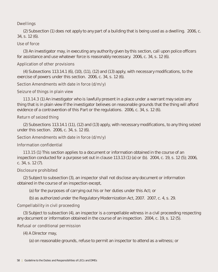## **Dwellings**

(2) Subsection (1) does not apply to any part of a building that is being used as a dwelling. 2006, c. 34, s. 12 (6).

## **Use of force**

(3) An investigator may, in executing any authority given by this section, call upon police officers for assistance and use whatever force is reasonably necessary. 2006, c. 34, s. 12 (6).

## **Application of other provisions**

(4) Subsections 113.14.1 (6), (10), (11), (12) and (13) apply, with necessary modifications, to the exercise of powers under this section. 2006, c. 34, s. 12 (6).

## **Section Amendments with date in force (d/m/y)**

## **Seizure of things in plain view**

**113.14.3** (1) An investigator who is lawfully present in a place under a warrant may seize any thing that is in plain view if the investigator believes on reasonable grounds that the thing will afford evidence of a contravention of this Part or the regulations. 2006, c. 34, s. 12 (6).

## **Return of seized thing**

(2) Subsections 113.14.1 (11), (12) and (13) apply, with necessary modifications, to any thing seized under this section. 2006, c. 34, s. 12 (6).

## **Section Amendments with date in force (d/m/y)**

## **Information confidential**

**113.15** (1) This section applies to a document or information obtained in the course of an inspection conducted for a purpose set out in clause 113.13 (1) (a) or (b). 2004, c. 19, s. 12 (5); 2006, c. 34, s. 12 (7).

## **Disclosure prohibited**

(2) Subject to subsection (3), an inspector shall not disclose any document or information obtained in the course of an inspection except,

(a) for the purposes of carrying out his or her duties under this Act; or

(b) as authorized under the Regulatory Modernization Act, 2007. 2007, c. 4, s. 29.

## **Compellability in civil proceeding**

(3) Subject to subsection (4), an inspector is a compellable witness in a civil proceeding respecting any document or information obtained in the course of an inspection. 2004, c. 19, s. 12 (5).

## **Refusal or conditional permission**

(4) A Director may,

(a) on reasonable grounds, refuse to permit an inspector to attend as a witness; or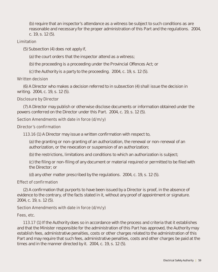(b) require that an inspector's attendance as a witness be subject to such conditions as are reasonable and necessary for the proper administration of this Part and the regulations. 2004, c. 19, s. 12 (5).

#### **Limitation**

- (5) Subsection (4) does not apply if,
	- (a) the court orders that the inspector attend as a witness;
	- (b) the proceeding is a proceeding under the Provincial Offences Act; or
	- (c) the Authority is a party to the proceeding. 2004, c. 19, s. 12 (5).

## **Written decision**

(6) A Director who makes a decision referred to in subsection (4) shall issue the decision in writing. 2004, c. 19, s. 12 (5).

## **Disclosure by Director**

(7) A Director may publish or otherwise disclose documents or information obtained under the powers conferred on the Director under this Part. 2004, c. 19, s. 12 (5).

## **Section Amendments with date in force (d/m/y)**

#### **Director's confirmation**

**113.16** (1) A Director may issue a written confirmation with respect to,

 (a) the granting or non-granting of an authorization, the renewal or non-renewal of an authorization, or the revocation or suspension of an authorization;

(b) the restrictions, limitations and conditions to which an authorization is subject;

 (c) the filing or non-filing of any document or material required or permitted to be filed with the Director; or

(d) any other matter prescribed by the regulations. 2004, c. 19, s. 12 (5).

## **Effect of confirmation**

(2) A confirmation that purports to have been issued by a Director is proof, in the absence of evidence to the contrary, of the facts stated in it, without any proof of appointment or signature. 2004, c. 19, s. 12 (5).

## **Section Amendments with date in force (d/m/y)**

## **Fees, etc.**

**113.17** (1) If the Authority does so in accordance with the process and criteria that it establishes and that the Minister responsible for the administration of this Part has approved, the Authority may establish fees, administrative penalties, costs or other charges related to the administration of this Part and may require that such fees, administrative penalties, costs and other charges be paid at the times and in the manner directed by it. 2004, c. 19, s. 12 (5).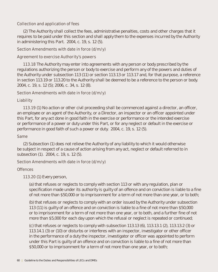## **Collection and application of fees**

(2) The Authority shall collect the fees, administrative penalties, costs and other charges that it requires to be paid under this section and shall apply them to the expenses incurred by the Authority in administering this Part. 2004, c. 19, s. 12 (5).

## **Section Amendments with date in force (d/m/y)**

## **Agreement to exercise Authority's powers**

**113.18** The Authority may enter into agreements with any person or body prescribed by the regulations authorizing the person or body to exercise and perform any of the powers and duties of the Authority under subsection 113 (11) or section 113.13 or 113.17 and, for that purpose, a reference in section 113.19 or 113.20 to the Authority shall be deemed to be a reference to the person or body. 2004, c. 19, s. 12 (5); 2006, c. 34, s. 12 (8).

## **Section Amendments with date in force (d/m/y)**

## **Liability**

**113.19** (1) No action or other civil proceeding shall be commenced against a director, an officer, an employee or an agent of the Authority, or a Director, an inspector or an officer appointed under this Part, for any act done in good faith in the exercise or performance or the intended exercise or performance of a power or duty under this Part, or for any neglect or default in the exercise or performance in good faith of such a power or duty. 2004, c. 19, s. 12 (5).

## **Same**

(2) Subsection (1) does not relieve the Authority of any liability to which it would otherwise be subject in respect of a cause of action arising from any act, neglect or default referred to in subsection (1). 2004, c. 19, s. 12 (5).

## **Section Amendments with date in force (d/m/y)**

## **Offences**

**113.20** (1) Every person,

 (a) that refuses or neglects to comply with section 113 or with any regulation, plan or specification made under its authority is guilty of an offence and on conviction is liable to a fine of not more than \$50,000 or to imprisonment for a term of not more than one year, or to both;

 (b) that refuses or neglects to comply with an order issued by the Authority under subsection 113 (11) is guilty of an offence and on conviction is liable to a fine of not more than \$50,000 or to imprisonment for a term of not more than one year, or to both, and a further fine of not more than \$5,000 for each day upon which the refusal or neglect is repeated or continued;

 (c) that refuses or neglects to comply with subsection 113.13 (6), 113.13.1 (2), 113.13.2 (3) or 113.14.1 (3) or (10) or disturbs or interferes with an inspector, investigator or other officer in the performance of a duty the inspector, investigator or officer was appointed to perform under this Part is guilty of an offence and on conviction is liable to a fine of not more than \$50,000 or to imprisonment for a term of not more than one year, or to both;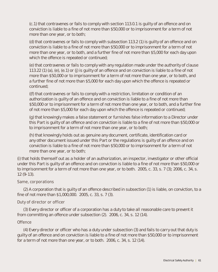(c.1) that contravenes or fails to comply with section 113.0.1 is guilty of an offence and on conviction is liable to a fine of not more than \$50,000 or to imprisonment for a term of not more than one year, or to both;

 (d) that contravenes or fails to comply with subsection 113.2 (1) is guilty of an offence and on conviction is liable to a fine of not more than \$50,000 or to imprisonment for a term of not more than one year, or to both, and a further fine of not more than \$5,000 for each day upon which the offence is repeated or continued;

 (e) that contravenes or fails to comply with any regulation made under the authority of clause 113.22 (1) (a), (e), (e.1) or (j) is guilty of an offence and on conviction is liable to a fine of not more than \$50,000 or to imprisonment for a term of not more than one year, or to both, and a further fine of not more than \$5,000 for each day upon which the offence is repeated or continued;

 ((f) that contravenes or fails to comply with a restriction, limitation or condition of an authorization is guilty of an offence and on conviction is liable to a fine of not more than \$50,000 or to imprisonment for a term of not more than one year, or to both, and a further fine of not more than \$5,000 for each day upon which the offence is repeated or continued;

 (g) that knowingly makes a false statement or furnishes false information to a Director under this Part is guilty of an offence and on conviction is liable to a fine of not more than \$50,000 or to imprisonment for a term of not more than one year, or to both;

 (h) that knowingly holds out as genuine any document, certificate, identification card or any other document issued under this Part or the regulations is guilty of an offence and on conviction is liable to a fine of not more than \$50,000 or to imprisonment for a term of not more than one year, or to both;

(i) that holds themself out as a holder of an authorization, an inspector, investigator or other official under this Part is guilty of an offence and on conviction is liable to a fine of not more than \$50,000 or to imprisonment for a term of not more than one year, or to both. 2005, c. 33, s. 7 (3); 2006, c. 34, s. 12 (9-13).

## **Same, corporations**

(2) A corporation that is guilty of an offence described in subsection (1) is liable, on conviction, to a fine of not more than \$1,000,000. 2005, c. 33, s. 7 (3).

## **Duty of director or officer**

(3) Every director or officer of a corporation has a duty to take all reasonable care to prevent it from committing an offence under subsection (2). 2006, c. 34, s. 12 (14).

## **Offence**

(4) Every director or officer who has a duty under subsection (3) and fails to carry out that duty is guilty of an offence and on conviction is liable to a fine of not more than \$50,000 or to imprisonment for a term of not more than one year, or to both. 2006, c. 34, s. 12 (14).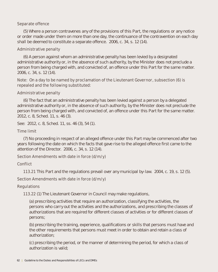## **Separate offence**

(5) Where a person contravenes any of the provisions of this Part, the regulations or any notice or order made under them on more than one day, the continuance of the contravention on each day shall be deemed to constitute a separate offence. 2006, c. 34, s. 12 (14).

## **Administrative penalty**

(6) A person against whom an administrative penalty has been levied by a designated administrative authority or, in the absence of such authority, by the Minister does not preclude a person from being charged with, and convicted of, an offence under this Part for the same matter. 2006, c. 34, s. 12 (14).

## **Note: On a day to be named by proclamation of the Lieutenant Governor, subsection (6) is repealed and the following substituted:**

## **Administrative penalty**

(6) The fact that an administrative penalty has been levied against a person by a delegated administrative authority or, in the absence of such authority, by the Minister does not preclude the person from being charged with, and convicted of, an offence under this Part for the same matter. 2012, c. 8, Sched. 11, s. 46 (3).

See: 2012, c. 8, Sched. 11, ss. 46 (3), 54 (1).

## **Time limit**

(7) No proceeding in respect of an alleged offence under this Part may be commenced after two years following the date on which the facts that gave rise to the alleged offence first came to the attention of the Director. 2006, c. 34, s. 12 (14).

## **Section Amendments with date in force (d/m/y)**

## **Conflict**

**113.21** This Part and the regulations prevail over any municipal by-law. 2004, c. 19, s. 12 (5).

## **Section Amendments with date in force (d/m/y)**

## **Regulations**

**113.22** (1) The Lieutenant Governor in Council may make regulations,

 (a) prescribing activities that require an authorization, classifying the activities, the persons who carry out the activities and the authorizations, and prescribing the classes of authorizations that are required for different classes of activities or for different classes of persons;

 (b) prescribing the training, experience, qualifications or skills that persons must have and the other requirements that persons must meet in order to obtain and retain a class of authorization;

 (c) prescribing the period, or the manner of determining the period, for which a class of authorization is valid;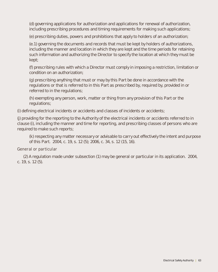(d) governing applications for authorization and applications for renewal of authorization, including prescribing procedures and timing requirements for making such applications;

(e) prescribing duties, powers and prohibitions that apply to holders of an authorization;

 (e.1) governing the documents and records that must be kept by holders of authorizations, including the manner and location in which they are kept and the time periods for retaining such information and authorizing the Director to specify the location at which they must be kept;

 (f) prescribing rules with which a Director must comply in imposing a restriction, limitation or condition on an authorization;

 (g) prescribing anything that must or may by this Part be done in accordance with the regulations or that is referred to in this Part as prescribed by, required by, provided in or referred to in the regulations;

 (h) exempting any person, work, matter or thing from any provision of this Part or the regulations;

(i) defining electrical incidents or accidents and classes of incidents or accidents;

(j) providing for the reporting to the Authority of the electrical incidents or accidents referred to in clause (i), including the manner and time for reporting, and prescribing classes of persons who are required to make such reports;

 (k) respecting any matter necessary or advisable to carry out effectively the intent and purpose of this Part. 2004, c. 19, s. 12 (5); 2006, c. 34, s. 12 (15, 16).

## **General or particular**

(2) A regulation made under subsection (1) may be general or particular in its application. 2004, c. 19, s. 12 (5).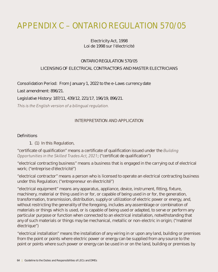# **APPENDIX C – ONTARIO REGULATION 570/05**

## Electricity Act, 1998 Loi de 1998 sur l'électricité

## ONTARIO REGULATION 570/05

## LICENSING OF ELECTRICAL CONTRACTORS AND MASTER ELECTRICIANS

Consolidation Period: From January 1, 2022 to the e-Laws currency date

Last amendment: 896/21.

Legislative History: 187/11, 439/12, 221/17, 196/19, 896/21.

*This is the English version of a bilingual regulation.*

## INTERPRETATION AND APPLICATION

#### **Definitions**

1. (1) In this Regulation,

"certificate of qualification" means a certificate of qualification issued under the *Building Opportunities in the Skilled Trades Act, 2021*; ("certificat de qualification")

"electrical contracting business" means a business that is engaged in the carrying out of electrical work; ("entreprise d'électricité")

"electrical contractor" means a person who is licensed to operate an electrical contracting business under this Regulation; ("entrepreneur en électricité")

"electrical equipment" means any apparatus, appliance, device, instrument, fitting, fixture, machinery, material or thing used in or for, or capable of being used in or for, the generation, transformation, transmission, distribution, supply or utilization of electric power or energy, and, without restricting the generality of the foregoing, includes any assemblage or combination of materials or things which is used, or is capable of being used or adapted, to serve or perform any particular purpose or function when connected to an electrical installation, notwithstanding that any of such materials or things may be mechanical, metallic or non-electric in origin; ("matériel électrique")

"electrical installation" means the installation of any wiring in or upon any land, building or premises from the point or points where electric power or energy can be supplied from any source to the point or points where such power or energy can be used in or on the land, building or premises by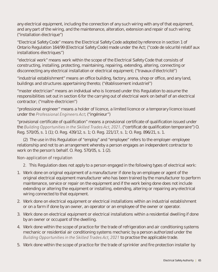any electrical equipment, including the connection of any such wiring with any of that equipment, and any part of the wiring, and the maintenance, alteration, extension and repair of such wiring; ("installation électrique")

"Electrical Safety Code" means the Electrical Safety Code adopted by reference in section 1 of Ontario Regulation 164/99 (Electrical Safety Code) made under the Act; ("code de sécurité relatif aux installations électriques")

"electrical work" means work within the scope of the Electrical Safety Code that consists of constructing, installing, protecting, maintaining, repairing, extending, altering, connecting or disconnecting any electrical installation or electrical equipment; ("travaux d'électricité")

"industrial establishment" means an office building, factory, arena, shop or office, and any land, buildings and structures appertaining thereto; ("établissement industriel")

"master electrician" means an individual who is licensed under this Regulation to assume the responsibilities set out in section 6 for the carrying out of electrical work on behalf of an electrical contractor; ("maître-électricien")

"professional engineer" means a holder of licence, a limited licence or a temporary licence issued under the *Professional Engineers Act*; ("ingénieur")

"provisional certificate of qualification" means a provisional certificate of qualification issued under the *Building Opportunities in the Skilled Trades Act, 2021*. ("certificat de qualification temporaire") O. Reg. 570/05, s. 1 (1); O. Reg. 439/12, s. 1; O. Reg. 221/17, s. 1; O. Reg. 896/21, s. 1.

(2) The use in this Regulation of "employ" and "employee" refers to the employer-employee relationship and not to an arrangement whereby a person engages an independent contractor to work on the person's behalf. O. Reg. 570/05, s. 1 (2).

## **Non-application of regulation**

**2.** This Regulation does not apply to a person engaged in the following types of electrical work:

- 1. Work done on original equipment of a manufacturer if done by an employee or agent of the original electrical equipment manufacturer who has been trained by the manufacturer to perform maintenance, service or repair on the equipment and if the work being done does not include extending or altering the equipment or installing, extending, altering or repairing any electrical wiring connected to that equipment.
- 2. Work done on electrical equipment or electrical installations within an industrial establishment or on a farm if done by an owner, an operator or an employee of the owner or operator.
- 3. Work done on electrical equipment or electrical installations within a residential dwelling if done by an owner or occupant of the dwelling.
- 4. Work done within the scope of practice for the trade of refrigeration and air conditioning systems mechanic or residential air conditioning systems mechanic by a person authorized under the *Building Opportunities in the Skilled Trades Act, 2021* to practise the applicable trade.
- 5. Work done within the scope of practice for the trade of sprinkler and fire protection installer by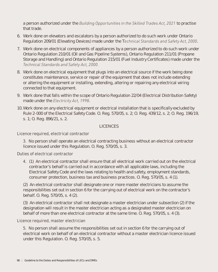a person authorized under the *Building Opportunities in the Skilled Trades Act, 2021* to practise that trade.

- 6. Work done on elevators and escalators by a person authorized to do such work under Ontario Regulation 209/01 (Elevating Devices) made under the T*echnical Standards and Safety Act, 2000*.
- 7. Work done on electrical components of appliances by a person authorized to do such work under Ontario Regulation 210/01 (Oil and Gas Pipeline Systems), Ontario Regulation 211/01 (Propane Storage and Handling) and Ontario Regulation 215/01 (Fuel Industry Certificates) made under the *Technical Standards and Safety Act, 2000.*
- 8. Work done on electrical equipment that plugs into an electrical source if the work being done constitutes maintenance, service or repair of the equipment that does not include extending or altering the equipment or installing, extending, altering or repairing any electrical wiring connected to that equipment.
- 9. Work done that falls within the scope of Ontario Regulation 22/04 (Electrical Distribution Safety) made under the *Electricity Act, 1998*.
- 10. Work done on any electrical equipment or electrical installation that is specifically excluded by Rule 2-000 of the Electrical Safety Code. O. Reg. 570/05, s. 2; O. Reg. 439/12, s. 2; O. Reg. 196/19, s. 1; O. Reg. 896/21, s. 2.

## LICENCES

## **Licence required, electrical contractor**

**3.** No person shall operate an electrical contracting business without an electrical contractor licence issued under this Regulation. O. Reg. 570/05, s. 3.

## **Duties of electrical contractor**

**4.** (1) An electrical contractor shall ensure that all electrical work carried out on the electrical contractor's behalf is carried out in accordance with all applicable laws, including the Electrical Safety Code and the laws relating to health and safety, employment standards, consumer protection, business tax and business practices. O. Reg. 570/05, s. 4 (1).

 (2) An electrical contractor shall designate one or more master electricians to assume the responsibilities set out in section 6 for the carrying out of electrical work on the contractor's behalf. O. Reg. 570/05, s. 4 (2).

 (3) An electrical contractor shall not designate a master electrician under subsection (2) if the designation will result in the master electrician acting as a designated master electrician on behalf of more than one electrical contractor at the same time. O. Reg. 570/05, s. 4 (3).

## **Licence required, master electrician**

 **5.** No person shall assume the responsibilities set out in section 6 for the carrying out of electrical work on behalf of an electrical contractor without a master electrician licence issued under this Regulation. O. Reg. 570/05, s. 5.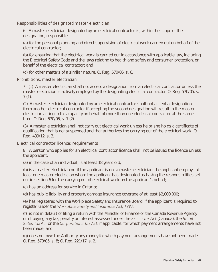## **Responsibilities of designated master electrician**

 **6.** A master electrician designated by an electrical contractor is, within the scope of the designation, responsible,

 (a) for the personal planning and direct supervision of electrical work carried out on behalf of the electrical contractor;

 (b) for ensuring that the electrical work is carried out in accordance with applicable law, including the Electrical Safety Code and the laws relating to health and safety and consumer protection, on behalf of the electrical contractor; and

(c) for other matters of a similar nature. O. Reg. 570/05, s. 6.

## **Prohibitions, master electrician**

 **7**. (1) A master electrician shall not accept a designation from an electrical contractor unless the master electrician is actively employed by the designating electrical contractor. O. Reg. 570/05, s.  $7(1)$ .

 (2) A master electrician designated by an electrical contractor shall not accept a designation from another electrical contractor if accepting the second designation will result in the master electrician acting in this capacity on behalf of more than one electrical contractor at the same time. O. Reg. 570/05, s. 7 (2).

 (3) A master electrician shall not carry out electrical work unless he or she holds a certificate of qualification that is not suspended and that authorizes the carrying out of the electrical work. O. Reg. 439/12, s. 3.

## **Electrical contractor licence: requirements**

 **8.** A person who applies for an electrical contractor licence shall not be issued the licence unless the applicant,

(a) in the case of an individual, is at least 18 years old;

 (b) is a master electrician or, if the applicant is not a master electrician, the applicant employs at least one master electrician whom the applicant has designated as having the responsibilities set out in section 6 for the carrying out of electrical work on the applicant's behalf;

(c) has an address for service in Ontario;

(d) has public liability and property damage insurance coverage of at least \$2,000,000;

 (e) has registered with the Workplace Safety and Insurance Board, if the applicant is required to register under the *Workplace Safety and Insurance Act, 1997*;

 (f) is not in default of filing a return with the Minister of Finance or the Canada Revenue Agency or of paying any tax, penalty or interest assessed under the *Excise Tax Act* (Canada), the *Retail Sales Tax Act* or the *Corporations Tax Act*, if applicable, for which payment arrangements have not been made; and

 (g) does not owe the Authority any money for which payment arrangements have not been made. O. Reg. 570/05, s. 8; O. Reg. 221/17, s. 2.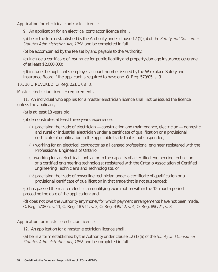## **Application for electrical contractor licence**

**9.** An application for an electrical contractor licence shall,

 (a) be in the form established by the Authority under clause 12 (1) (a) of the *Safety and Consumer Statutes Administration Act, 1996* and be completed in full;

(b) be accompanied by the fee set by and payable to the Authority;

 (c) include a certificate of insurance for public liability and property damage insurance coverage of at least \$2,000,000;

 (d) include the applicant's employer account number issued by the Workplace Safety and Insurance Board if the applicant is required to have one. O. Reg. 570/05, s. 9.

## **10., 10.1 REVOKED:** O. Reg. 221/17, s. 3.

## **Master electrician licence: requirements**

**11.** An individual who applies for a master electrician licence shall not be issued the licence unless the applicant,

(a) is at least 18 years old;

(b) demonstrates at least three years experience,

- (i) practising the trade of electrician construction and maintenance, electrician domestic and rural or industrial electrician under a certificate of qualification or a provisional certificate of qualification in the applicable trade that is not suspended,
- (ii) working for an electrical contractor as a licensed professional engineer registered with the Professional Engineers of Ontario,
- (iii)working for an electrical contractor in the capacity of a certified engineering technician or a certified engineering technologist registered with the Ontario Association of Certified Engineering Technicians and Technologists, or
- (iv) practising the trade of powerline technician under a certificate of qualification or a provisional certificate of qualification in that trade that is not suspended;

 (c) has passed the master electrician qualifying examination within the 12-month period preceding the date of the application; and

 (d) does not owe the Authority any money for which payment arrangements have not been made. O. Reg. 570/05, s. 11; O. Reg. 187/11, s. 3; O. Reg. 439/12, s. 4; O. Reg. 896/21, s. 3.

## **Application for master electrician licence**

**12.** An application for a master electrician licence shall,

 (a) be in a form established by the Authority under clause 12 (1) (a) of the *Safety and Consumer Statutes Administration Act, 1996* and be completed in full;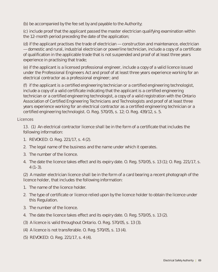(b) be accompanied by the fee set by and payable to the Authority;

 (c) include proof that the applicant passed the master electrician qualifying examination within the 12-month period preceding the date of the application;

 (d) if the applicant practises the trade of electrician — construction and maintenance, electrician — domestic and rural, industrial electrician or powerline technician, include a copy of a certificate of qualification in the applicable trade that is not suspended and proof of at least three years experience in practising that trade;

 (e) if the applicant is a licensed professional engineer, include a copy of a valid licence issued under the Professional Engineers Act and proof of at least three years experience working for an electrical contractor as a professional engineer; and

 (f) if the applicant is a certified engineering technician or a certified engineering technologist, include a copy of a valid certificate indicating that the applicant is a certified engineering technician or a certified engineering technologist, a copy of a valid registration with the Ontario Association of Certified Engineering Technicians and Technologists and proof of at least three years experience working for an electrical contractor as a certified engineering technician or a certified engineering technologist. O. Reg. 570/05, s. 12; O. Reg. 439/12, s. 5.

## **Licences**

 **13.** (1) An electrical contractor licence shall be in the form of a certificate that includes the following information:

- 1. REVOKED: O. Reg. 221/17, s. 4 (2).
- 2. The legal name of the business and the name under which it operates.
- 3. The number of the licence.
- 4. The date the licence takes effect and its expiry date. O. Reg. 570/05, s. 13 (1); O. Reg. 221/17, s.  $4(1-3)$ .

(2) A master electrician licence shall be in the form of a card bearing a recent photograph of the licence holder, that includes the following information:

- 1. The name of the licence holder.
- 2. The type of certificate or licence relied upon by the licence holder to obtain the licence under this Regulation.
- 3. The number of the licence.
- 4. The date the licence takes effect and its expiry date. O. Reg. 570/05, s. 13 (2).
- (3) A licence is valid throughout Ontario. O. Reg. 570/05, s. 13 (3).
- (4) A licence is not transferable. O. Reg. 570/05, s. 13 (4).
- (5) REVOKED: O. Reg. 221/17, s. 4 (4).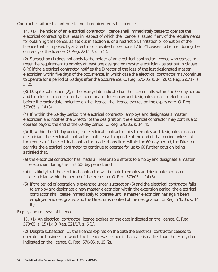## **Contractor failure to continue to meet requirements for licence**

 **14.** (1) The holder of an electrical contractor licence shall immediately cease to operate the electrical contracting business in respect of which the licence is issued if any of the requirements for obtaining the licence, as set out in section 8, or a restriction, limitation or condition of the licence that is imposed by a Director or specified in sections 17 to 24 ceases to be met during the currency of the licence. O. Reg. 221/17, s. 5 (1).

 (2) Subsection (1) does not apply to the holder of an electrical contractor licence who ceases to meet the requirement to employ at least one designated master electrician, as set out in clause 8 (b) if the electrical contractor notifies the Director of the loss of the last designated master electrician within five days of the occurrence, in which case the electrical contractor may continue to operate for a period of 60 days after the occurrence. O. Reg. 570/05, s. 14 (2); O. Reg. 221/17, s. 5 (2).

 (3) Despite subsection (2), if the expiry date indicated on the licence falls within the 60-day period and the electrical contractor has been unable to employ and designate a master electrician before the expiry date indicated on the licence, the licence expires on the expiry date. O. Reg. 570/05, s. 14 (3).

 (4) If, within the 60-day period, the electrical contractor employs and designates a master electrician and notifies the Director of the designation, the electrical contractor may continue to operate beyond the end of the 60-day period. O. Reg. 570/05, s. 14 (4).

 (5) If, within the 60-day period, the electrical contractor fails to employ and designate a master electrician, the electrical contractor shall cease to operate at the end of that period unless, at the request of the electrical contractor made at any time within the 60-day period, the Director permits the electrical contractor to continue to operate for up to 60 further days on being satisfied that,

- (a) the electrical contractor has made all reasonable efforts to employ and designate a master electrician during the first 60-day period; and
- (b) it is likely that the electrical contractor will be able to employ and designate a master electrician within the period of the extension. O. Reg. 570/05, s. 14 (5).
- (6) If the period of operation is extended under subsection (5) and the electrical contractor fails to employ and designate a new master electrician within the extension period, the electrical contractor shall cease immediately to operate until a master electrician has again been employed and designated and the Director is notified of the designation. O. Reg. 570/05, s. 14 (6).

## **Expiry and renewal of licences**

 **15.** (1) An electrical contractor licence expires on the date indicated on the licence. O. Reg. 570/05, s. 15 (1); O. Reg. 221/17, s. 6 (1).

 (2) Despite subsection (1), the licence expires on the date the electrical contractor ceases to operate the business for which the licence was issued if that date is earlier than the expiry date indicated on the licence. O. Reg. 570/05, s. 15 (2).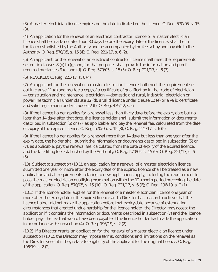(3) A master electrician licence expires on the date indicated on the licence. O. Reg. 570/05, s. 15 (3).

 (4) An application for the renewal of an electrical contractor licence or a master electrician licence shall be made no later than 30 days before the expiry date of the licence, shall be in the form established by the Authority and be accompanied by the fee set by and payable to the Authority. O. Reg. 570/05, s. 15 (4); O. Reg. 221/17, s. 6 (2).

 (5) An applicant for the renewal of an electrical contractor licence shall meet the requirements set out in clauses 8 (b) to (g) and, for that purpose, shall provide the information and proof required by clauses 9 (c) and (d). O. Reg. 570/05, s. 15 (5); O. Reg. 221/17, s. 6 (3).

(6) REVOKED: O. Reg. 221/17, s. 6 (4).

 (7) An applicant for the renewal of a master electrician licence shall meet the requirement set out in clause 11 (d) and provide a copy of a certificate of qualification in the trade of electrician — construction and maintenance, electrician — domestic and rural, industrial electrician or powerline technician under clause 12 (d), a valid licence under clause 12 (e) or a valid certificate and valid registration under clause 12 (f). O. Reg. 439/12, s. 6.

 (8) If the licence holder applies for a renewal less than thirty days before the expiry date but no later than 14 days after that date, the licence holder shall submit the information or documents described in subsection (5) or (7), as applicable, and pay the renewal fee, calculated from the date of expiry of the expired licence. O. Reg. 570/05, s. 15 (8); O. Reg. 221/17, s. 6 (5).

 (9) If the licence holder applies for a renewal more than 14 days but less than one year after the expiry date, the holder shall submit the information or documents described in subsection (5) or (7), as applicable, pay the renewal fee, calculated from the date of expiry of the expired licence, and the late filing fee established by the Authority. O. Reg. 570/05, s. 15 (9); O. Reg. 221/17, s. 6 (5).

 (10) Subject to subsection (10.1), an application for a renewal of a master electrician licence submitted one year or more after the expiry date of the expired licence shall be treated as a new application and all requirements relating to new applications apply, including the requirement to pass the master electrician qualifying examination within the 12-month period preceding the date of the application. O. Reg. 570/05, s. 15 (10); O. Reg. 221/17, s. 6 (6); O. Reg. 196/19, s. 2 (1).

 (10.1) If the licence holder applies for the renewal of a master electrician licence one year or more after the expiry date of the expired licence and a Director has reason to believe that the licence holder did not make the application before that expiry date because of extenuating circumstances that created undue hardship for the licence holder, the Director may accept the application if it contains the information or documents described in subsection (7) and the licence holder pays the fee that would have been payable if the licence holder had made the application in accordance with subsection (4). O. Reg. 196/19, s. 2 (2).

 (10.2) If a Director grants an application for the renewal of a master electrician licence under subsection (10.1), the Director may impose terms, conditions and limitations on the renewal as the Director sees fit if they relate to eligibility of the applicant for the original licence. O. Reg. 196/19, s. 2 (2).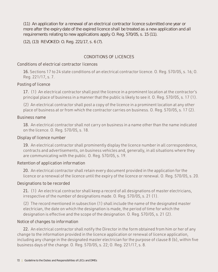(11) An application for a renewal of an electrical contractor licence submitted one year or more after the expiry date of the expired licence shall be treated as a new application and all requirements relating to new applications apply. O. Reg. 570/05, s. 15 (11).

(12), (13) REVOKED: O. Reg. 221/17, s. 6 (7).

# **CONDITIONS OF LICENCES**

# **Conditions of electrical contractor licences**

 **16.** Sections 17 to 24 state conditions of an electrical contractor licence. O. Reg. 570/05, s. 16; O. Reg. 221/17, s. 7.

# **Posting of licence**

 **17.** (1) An electrical contractor shall post the licence in a prominent location at the contractor's principal place of business in a manner that the public is likely to see it. O. Reg. 570/05, s. 17 (1).

(2) An electrical contractor shall post a copy of the licence in a prominent location at any other place of business at or from which the contractor carries on business. O. Reg. 570/05, s. 17 (2).

## **Business name**

 **18.** An electrical contractor shall not carry on business in a name other than the name indicated on the licence. O. Reg. 570/05, s. 18.

## **Display of licence number**

 **19.** An electrical contractor shall prominently display the licence number in all correspondence, contracts and advertisements, on business vehicles and, generally, in all situations where they are communicating with the public. O. Reg. 570/05, s. 19.

# **Retention of application information**

 **20.** An electrical contractor shall retain every document provided in the application for the licence or a renewal of the licence until the expiry of the licence or renewal. O. Reg. 570/05, s. 20.

## **Designations to be recorded**

 **21.** (1) An electrical contractor shall keep a record of all designations of master electricians, irrespective of the number of designations made. O. Reg. 570/05, s. 21 (1).

(2) The record mentioned in subsection (1) shall include the name of the designated master electrician, the date on which the designation is made, the period of time for which the designation is effective and the scope of the designation. O. Reg. 570/05, s. 21 (2).

# **Notice of changes to information**

**22.** An electrical contractor shall notify the Director in the form obtained from him or her of any change to the information provided in the licence application or renewal of licence application, including any change in the designated master electrician for the purpose of clause 8 (b), within five business days of the change. O. Reg. 570/05, s. 22; O. Reg. 221/17, s. 8.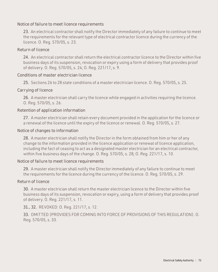## **Notice of failure to meet licence requirements**

 **23.** An electrical contractor shall notify the Director immediately of any failure to continue to meet the requirements for the relevant type of electrical contractor licence during the currency of the licence. O. Reg. 570/05, s. 23.

## **Return of licence**

 **24.** An electrical contractor shall return the electrical contractor licence to the Director within five business days of its suspension, revocation or expiry using a form of delivery that provides proof of delivery. O. Reg. 570/05, s. 24; O. Reg. 221/17, s. 9.

## **Conditions of master electrician licence**

 **25.** Sections 26 to 28 state conditions of a master electrician licence. O. Reg. 570/05, s. 25.

## **Carrying of licence**

 **26.** A master electrician shall carry the licence while engaged in activities requiring the licence. O. Reg. 570/05, s. 26.

## **Retention of application information**

 **27.** A master electrician shall retain every document provided in the application for the licence or a renewal of the licence until the expiry of the licence or renewal. O. Reg. 570/05, s. 27.

## **Notice of changes to information**

 **28.** A master electrician shall notify the Director in the form obtained from him or her of any change to the information provided in the licence application or renewal of licence application, including the fact of ceasing to act as a designated master electrician for an electrical contractor, within five business days of the change. O. Reg. 570/05, s. 28; O. Reg. 221/17, s. 10.

## **Notice of failure to meet licence requirements**

 **29.** A master electrician shall notify the Director immediately of any failure to continue to meet the requirements for the licence during the currency of the licence. O. Reg. 570/05, s. 29.

## **Return of licence**

 **30.** A master electrician shall return the master electrician licence to the Director within five business days of its suspension, revocation or expiry, using a form of delivery that provides proof of delivery. O. Reg. 221/17, s. 11.

**31., 32.** REVOKED: O. Reg. 221/17, s. 12.

 **33.** OMITTED (PROVIDES FOR COMING INTO FORCE OF PROVISIONS OF THIS REGULATION). O. Reg. 570/05, s. 33.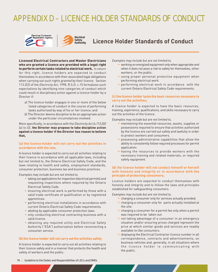# **APPENDIX D – LICENCE HOLDER STANDARDS OF CONDUCT**





**Licence Holder Standards of Conduct**

Licensed Electrical Contractors and Master Electricians who are granted a licence are provided with a legal right to perform certain tasks related to electrical work. In return for this right, licence holders are expected to conduct themselves in accordance with their associated legal obligations when carrying out such rights granted by their licence. Section 113.2(2) of the *Electricity Act*, 1998, R.S.O. c.15 formalizes such expectations by identifying nine categories of conduct which could result in disciplinary action against a licence holder by a Director if:

- a) The licence holder engages in one or more of the below listed categories of conduct in the course of performing tasks authorized by way of his or her licence; and
- b) The Director deems discipline to be an appropriate action under the particular circumstances involved.

More specifically, in accordance with the *Electricity Act (s.113.2(2) (a) to (i))*, the Director may propose to take discipline action against a licence holder if the Director has reason to believe that,

#### **(a) the licence holder will not carry out the activities in accordance with the law;**

A licence holder is expected to carry out all activities relating to their licence in accordance with all applicable laws, including but not limited to, the Ontario Electrical Safety Code, and the laws relating to health and safety, employment standards, consumer protection, business tax and business practices.

*Examples may include but are not limited to,* 

- taking out applications for inspection (electrical permits) and requesting inspections where required by the Ontario Electrical Safety Code.
- ensuring electrical work is performed by those with a valid trade certificate of qualification or by registered apprentices.
- performing electrical installations in accordance with current Ontario Electrical Safety Code requirements.
- abiding by applicable consumer protection laws.
- only conducting electrical contracting business with a valid licence.
- obtaining any required utility and Electrical Safety Authority ("ESA") authorization before reconnecting a consumer service.

#### **(b) the licence holder will not carry out the activities safely;**

A licence holder is expected to carry out all activities relating to their licence safely and in a manner that protects the health and safety of workers and the public.

*Examples may include but are not limited to,* 

- working on energized equipment only when appropriate and when it does not pose a risk to safety for themselves, other workers, or the public.
- using proper personal protective equipment when performing electrical work.
- **P** performing electrical work in accordance with the current Ontario Electrical Safety Code requirements.

#### **(c) the licence holder lacks the basic resources necessary to carry out the activities;**

A licence holder is expected to have the basic resources, training, experience, qualifications, and skills necessary to carry out the activities of the licence.

*Examples may include but are not limited to,* 

- maintaining the essential resources, assets, supplies or possessions required to ensure that activities authorized by the licence are carried out safely and lawfully in order to protect workers and consumers.
- possessing administrative capabilities that allow the ability to consistently follow required processes for permit application.
- having the resources to provide workers with the necessary training and related materials, or required safety equipment.

#### **(d) the licence holder will not conduct himself or herself with honesty and integrity or in accordance with the principle of protecting consumers;**

Licence holders are expected to conduct themselves with honesty and integrity and to follow the laws and principles established for safeguarding consumers.

*Examples may include but are not limited to,* 

- charging a consumer only for services actually provided.
- charging a consumer only for parts actually installed at the site.
- charging a consumer for a permit fee only when a permit was required to be taken out.
- not taking advantage of a consumer in an emergency situation and/or ensuring prices charged represent the price at which similar goods and services are readily available to like consumers.
- displaying the Electrical Contractor licence number in all correspondence, contracts and advertisements, on business vehicles and, generally, in all situations where the licence holder is communicating with the public.
- 74 | Guideline to the Duties and Responsibilities of LECs and DMEs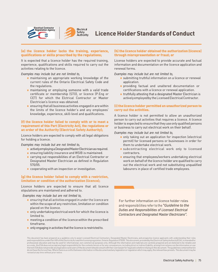



#### (e) the licence holder lacks the training, experience, qualifications or skills prescribed by the regulations;

It is expected that a licence holder has the required training, experience, qualifications and skills required to carry out the activities relating to the licence.

*Examples may include but are not limited to,*

- naintaining an appropriate working knowledge of the current rules of the Ontario Electrical Safety Code and the regulations.
- naintaining or employing someone with a valid trade certificate or membership (STO), or licence (P.Eng or CET) for which the Elctrical Contractor or Master Electrician's licence was obtained.
- ensuring that all business activities engaged in are within the limits of the licence holder's and any employees' knowledge, experience, skill-level and qualifications.

#### (f) the licence holder failed to comply with or to meet a requirement of this Part (Electricity Act), the regulations or an order of the Authority (Electrical Safety Authority);

Licence holders are expected to comply with all legal obligations for holding a licence.

*Examples may include but are not limited to,*

- actively employing a Designated Master Electrician as required.
- ensuring liability insurance and WSIB is maintained.
- carrying out responsibilities of an Electrical Contractor or Designated Master Electrician as defined in Regulation 570/05.
- cooperating with an inspection or investigation.

#### (g) the licence holder failed to comply with a restriction, limitation or condition of the authorization (licence);

Licence holders are expected to ensure that all licence stipulations are maintained and adhered to.

*Examples may include but are not limited to,*

- ensuring that all activities engaged in under the licence are within the scope of any restriction, limitation or condition placed on the licence.
- only undertaking electrical work for which the licence is limited to.
- neeting a condition of the licence within the prescribed timeframe.
- only engaging in activities that the licence is restricted to.

#### (h) the licence holder obtained the authorization (licence) through misrepresentation or fraud; or

License holders are expected to provide accurate and factual information and documentation on the licence application and renewal forms.

*Examples may include but are not limited to,*

- submitting truthful information on a licence or renewal application.
- providing factual and unaltered documentation or certifications with a licence or renewal application.
- truthfully attesting that a designated Master Electrician is actively employed by the Licensed Electrical Contractor.

#### (i) the licence holder permitted an unauthorized person to carry out the activities.

A licence holder is not permitted to allow an unauthorized person to carry out activities that requires a licence. A licence holder is expected to ensure that they use only qualified persons or business to carry out electrical work on their behalf.

*Examples may include but are not limited to,*

- only taking out an application for inspection (electrical permit) for licensed persons or businesses in order for them to undertake electrical work.
- subcontracting electrical work only to licensed contractors.
- ensuring that employees/workers undertaking electrical work on behalf of the licence holder are qualified to carry out the electrical work and not substituting unqualified labourers in place of certified trade employees.

For further information on licence holder roles and responsibilities refer to the "*Guideline to the Duties and Responsibilities of Licensed Electrical Contractors and Designated Master Electricians".*

This document has been prepared as a guideline only to assist Licensed Electrical Contractors, Designated Master Electricians, and prospective licence applicants with understanding their roles<br>and responsibilities under Pa and responsible used for informational, non-commercial purposes only. Although the information and materials are carefully prepared and are believed to be reliable and acceptance in the responsible to the reliable and the do not have the force of law. Where there is a conflict between information in this document and any legislation or regulation which may apply, the relevant law prevails. This document may be revised at any time without prior notice.